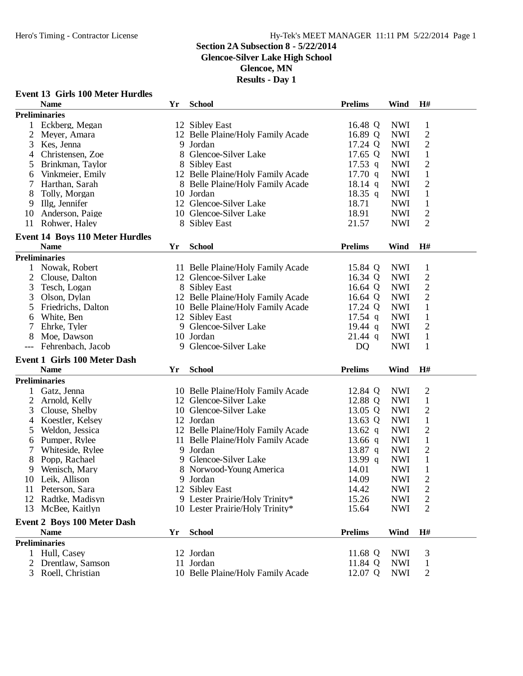**Event 13 Girls 100 Meter Hurdles**

### Hero's Timing - Contractor License Hy-Tek's MEET MANAGER 11:11 PM 5/22/2014 Page 1

#### **Section 2A Subsection 8 - 5/22/2014**

**Glencoe-Silver Lake High School**

**Glencoe, MN**

|                | <b>Name</b>                            | Yr | <b>School</b>                     | <b>Prelims</b>    | Wind       | H#             |  |
|----------------|----------------------------------------|----|-----------------------------------|-------------------|------------|----------------|--|
|                | <b>Preliminaries</b>                   |    |                                   |                   |            |                |  |
| $\mathbf{1}$   | Eckberg, Megan                         |    | 12 Sibley East                    | 16.48 Q           | <b>NWI</b> | 1              |  |
| $\overline{c}$ | Meyer, Amara                           |    | 12 Belle Plaine/Holy Family Acade | 16.89 Q           | <b>NWI</b> | $\mathbf{2}$   |  |
| 3              | Kes, Jenna                             |    | 9 Jordan                          | 17.24 Q           | <b>NWI</b> | $\overline{c}$ |  |
| 4              | Christensen, Zoe                       |    | 8 Glencoe-Silver Lake             | 17.65 Q           | <b>NWI</b> | $\mathbf 1$    |  |
| 5              | Brinkman, Taylor                       |    | 8 Sibley East                     | $17.53$ q         | <b>NWI</b> | $\overline{c}$ |  |
| 6              | Vinkmeier, Emily                       |    | 12 Belle Plaine/Holy Family Acade | $17.70$ q         | <b>NWI</b> | $\mathbf{1}$   |  |
| 7              | Harthan, Sarah                         |    | 8 Belle Plaine/Holy Family Acade  | 18.14 q           | <b>NWI</b> | $\overline{2}$ |  |
| 8              | Tolly, Morgan                          |    | 10 Jordan                         | 18.35 q           | <b>NWI</b> | $\mathbf{1}$   |  |
| 9              | Illg, Jennifer                         |    | 12 Glencoe-Silver Lake            | 18.71             | <b>NWI</b> | $\mathbf{1}$   |  |
| 10             | Anderson, Paige                        |    | 10 Glencoe-Silver Lake            | 18.91             | <b>NWI</b> | $\mathbf{2}$   |  |
| 11             | Rohwer, Haley                          |    | 8 Sibley East                     | 21.57             | <b>NWI</b> | $\overline{2}$ |  |
|                |                                        |    |                                   |                   |            |                |  |
|                | <b>Event 14 Boys 110 Meter Hurdles</b> |    |                                   |                   |            |                |  |
|                | <b>Name</b>                            | Yr | <b>School</b>                     | <b>Prelims</b>    | Wind       | H#             |  |
|                | <b>Preliminaries</b>                   |    |                                   |                   |            |                |  |
| $\mathbf{1}$   | Nowak, Robert                          |    | 11 Belle Plaine/Holy Family Acade | 15.84 Q           | <b>NWI</b> | $\mathbf{1}$   |  |
| 2              | Clouse, Dalton                         |    | 12 Glencoe-Silver Lake            | 16.34 Q           | <b>NWI</b> | $\mathbf{2}$   |  |
| 3              | Tesch, Logan                           |    | 8 Sibley East                     | 16.64 Q           | <b>NWI</b> | $\overline{c}$ |  |
| 3              | Olson, Dylan                           |    | 12 Belle Plaine/Holy Family Acade | 16.64 Q           | <b>NWI</b> | $\mathfrak{2}$ |  |
| 5              | Friedrichs, Dalton                     |    | 10 Belle Plaine/Holy Family Acade | 17.24 Q           | <b>NWI</b> | $\mathbf{1}$   |  |
| 6              | White, Ben                             |    | 12 Sibley East                    | 17.54 q           | <b>NWI</b> | $\mathbf{1}$   |  |
| 7              | Ehrke, Tyler                           |    | 9 Glencoe-Silver Lake             | $19.44 \text{ q}$ | <b>NWI</b> | $\overline{2}$ |  |
| 8              | Moe, Dawson                            |    | 10 Jordan                         | $21.44$ q         | <b>NWI</b> | $\mathbf{1}$   |  |
|                | Fehrenbach, Jacob                      | 9  | Glencoe-Silver Lake               | D <sub>Q</sub>    | <b>NWI</b> | 1              |  |
|                | <b>Event 1 Girls 100 Meter Dash</b>    |    |                                   |                   |            |                |  |
|                | <b>Name</b>                            | Yr | <b>School</b>                     | <b>Prelims</b>    | Wind       | H#             |  |
|                | <b>Preliminaries</b>                   |    |                                   |                   |            |                |  |
| $\mathbf{1}$   | Gatz, Jenna                            |    | 10 Belle Plaine/Holy Family Acade | 12.84 Q           | <b>NWI</b> | $\overline{c}$ |  |
| 2              |                                        |    | 12 Glencoe-Silver Lake            | 12.88 Q           | <b>NWI</b> | $\mathbf{1}$   |  |
|                | Arnold, Kelly                          |    |                                   |                   |            |                |  |
| 3              | Clouse, Shelby                         |    | 10 Glencoe-Silver Lake            | 13.05 Q           | <b>NWI</b> | $\overline{c}$ |  |
| 4              | Koestler, Kelsey                       |    | 12 Jordan                         | 13.63 Q           | <b>NWI</b> | $\mathbf{1}$   |  |
| 5              | Weldon, Jessica                        |    | 12 Belle Plaine/Holy Family Acade | 13.62 q           | <b>NWI</b> | $\mathfrak{2}$ |  |
| 6              | Pumper, Rylee                          |    | 11 Belle Plaine/Holy Family Acade | 13.66 $q$         | <b>NWI</b> | $\mathbf 1$    |  |
| 7              | Whiteside, Rylee                       |    | 9 Jordan                          | 13.87 $q$         | <b>NWI</b> | $\overline{2}$ |  |
| 8              | Popp, Rachael                          |    | 9 Glencoe-Silver Lake             | 13.99 q           | <b>NWI</b> | $\mathbf{1}$   |  |
| 9              | Wenisch, Mary                          |    | 8 Norwood-Young America           | 14.01             | <b>NWI</b> | $\mathbf{1}$   |  |
|                | 10 Leik, Allison                       |    | 9 Jordan                          | 14.09             | <b>NWI</b> | $\overline{c}$ |  |
| 11             | Peterson, Sara                         |    | 12 Sibley East                    | 14.42             | <b>NWI</b> | $\overline{c}$ |  |
| 12             | Radtke, Madisyn                        |    | 9 Lester Prairie/Holy Trinity*    | 15.26             | <b>NWI</b> | $\overline{c}$ |  |
| 13             | McBee, Kaitlyn                         |    | 10 Lester Prairie/Holy Trinity*   | 15.64             | <b>NWI</b> | 2              |  |
|                | <b>Event 2 Boys 100 Meter Dash</b>     |    |                                   |                   |            |                |  |
|                | <b>Name</b>                            | Yr | <b>School</b>                     | <b>Prelims</b>    | Wind       | H#             |  |
|                | <b>Preliminaries</b>                   |    |                                   |                   |            |                |  |
|                | 1 Hull, Casey                          |    | 12 Jordan                         | 11.68 Q           | <b>NWI</b> | 3              |  |
| 2              | Drentlaw, Samson                       |    | 11 Jordan                         | 11.84 Q           | <b>NWI</b> | $\mathbf{1}$   |  |
|                | 3 Roell, Christian                     |    | 10 Belle Plaine/Holy Family Acade | 12.07 Q           | <b>NWI</b> | 2              |  |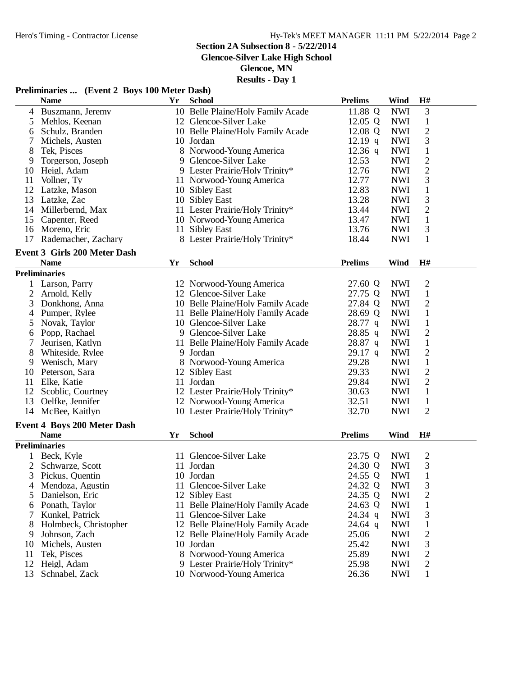**Glencoe-Silver Lake High School**

**Glencoe, MN**

|  | Preliminaries  (Event 2 Boys 100 Meter Dash) |  |
|--|----------------------------------------------|--|
|  |                                              |  |

|                | <b>Name</b>                                        | Yr | <b>School</b>                     | <b>Prelims</b> | <b>Wind</b> | H#             |  |
|----------------|----------------------------------------------------|----|-----------------------------------|----------------|-------------|----------------|--|
| 4              | Buszmann, Jeremy                                   |    | 10 Belle Plaine/Holy Family Acade | 11.88 Q        | <b>NWI</b>  | 3              |  |
| 5              | Mehlos, Keenan                                     |    | 12 Glencoe-Silver Lake            | 12.05 Q        | <b>NWI</b>  | $\mathbf{1}$   |  |
| 6              | Schulz, Branden                                    |    | 10 Belle Plaine/Holy Family Acade | 12.08 Q        | <b>NWI</b>  | $\sqrt{2}$     |  |
| 7              | Michels, Austen                                    |    | 10 Jordan                         | $12.19$ q      | <b>NWI</b>  | $\mathfrak{Z}$ |  |
| 8              | Tek, Pisces                                        |    | 8 Norwood-Young America           | $12.36$ q      | <b>NWI</b>  | $\mathbf{1}$   |  |
| 9              | Torgerson, Joseph                                  |    | 9 Glencoe-Silver Lake             | 12.53          | <b>NWI</b>  | $\mathfrak{2}$ |  |
| 10             | Heigl, Adam                                        |    | 9 Lester Prairie/Holy Trinity*    | 12.76          | <b>NWI</b>  | $\sqrt{2}$     |  |
| 11             | Vollner, Ty                                        |    | 11 Norwood-Young America          | 12.77          | <b>NWI</b>  | 3              |  |
| 12             | Latzke, Mason                                      |    | 10 Sibley East                    | 12.83          | <b>NWI</b>  | $\mathbf{1}$   |  |
| 13             | Latzke, Zac                                        |    | 10 Sibley East                    | 13.28          | <b>NWI</b>  | 3              |  |
| 14             | Millerbernd, Max                                   |    | 11 Lester Prairie/Holy Trinity*   | 13.44          | <b>NWI</b>  | $\sqrt{2}$     |  |
|                |                                                    |    |                                   |                |             | $\mathbf{1}$   |  |
| 15             | Capenter, Reed                                     |    | 10 Norwood-Young America          | 13.47          | <b>NWI</b>  |                |  |
| 16             | Moreno, Eric                                       |    | 11 Sibley East                    | 13.76          | <b>NWI</b>  | 3              |  |
| 17             | Rademacher, Zachary                                |    | 8 Lester Prairie/Holy Trinity*    | 18.44          | <b>NWI</b>  | $\mathbf{1}$   |  |
|                | <b>Event 3 Girls 200 Meter Dash</b><br><b>Name</b> | Yr | <b>School</b>                     | <b>Prelims</b> | Wind        | H#             |  |
|                | <b>Preliminaries</b>                               |    |                                   |                |             |                |  |
|                |                                                    |    |                                   |                |             |                |  |
| 1              | Larson, Parry                                      |    | 12 Norwood-Young America          | 27.60 Q        | <b>NWI</b>  | $\mathbf{2}$   |  |
| $\overline{2}$ | Arnold, Kelly                                      |    | 12 Glencoe-Silver Lake            | 27.75 Q        | <b>NWI</b>  | $\mathbf{1}$   |  |
| 3              | Donkhong, Anna                                     |    | 10 Belle Plaine/Holy Family Acade | 27.84 Q        | <b>NWI</b>  | $\mathfrak{2}$ |  |
| 4              | Pumper, Rylee                                      |    | 11 Belle Plaine/Holy Family Acade | 28.69 Q        | <b>NWI</b>  | $\mathbf{1}$   |  |
| 5              | Novak, Taylor                                      |    | 10 Glencoe-Silver Lake            | 28.77 q        | <b>NWI</b>  | $\mathbf{1}$   |  |
| 6              | Popp, Rachael                                      |    | 9 Glencoe-Silver Lake             | 28.85 q        | <b>NWI</b>  | $\sqrt{2}$     |  |
| 7              | Jeurisen, Katlyn                                   |    | 11 Belle Plaine/Holy Family Acade | 28.87 q        | <b>NWI</b>  | $\mathbf{1}$   |  |
| 8              | Whiteside, Rylee                                   |    | 9 Jordan                          | $29.17$ q      | <b>NWI</b>  | $\sqrt{2}$     |  |
| 9              | Wenisch, Mary                                      |    | 8 Norwood-Young America           | 29.28          | <b>NWI</b>  | $\mathbf 1$    |  |
| 10             | Peterson, Sara                                     |    | 12 Sibley East                    | 29.33          | <b>NWI</b>  | $\mathbf{2}$   |  |
| 11             | Elke, Katie                                        |    | 11 Jordan                         | 29.84          | <b>NWI</b>  | $\overline{2}$ |  |
| 12             | Scoblic, Courtney                                  |    | 12 Lester Prairie/Holy Trinity*   | 30.63          | <b>NWI</b>  | $\mathbf{1}$   |  |
| 13             | Oelfke, Jennifer                                   |    | 12 Norwood-Young America          | 32.51          | <b>NWI</b>  | $\mathbf{1}$   |  |
| 14             | McBee, Kaitlyn                                     |    | 10 Lester Prairie/Holy Trinity*   | 32.70          | <b>NWI</b>  | $\overline{2}$ |  |
|                | <b>Event 4 Boys 200 Meter Dash</b>                 |    |                                   |                |             |                |  |
|                | <b>Name</b>                                        | Yr | <b>School</b>                     | <b>Prelims</b> | Wind        | H#             |  |
|                | <b>Preliminaries</b>                               |    |                                   |                |             |                |  |
|                | Beck, Kyle                                         |    | 11 Glencoe-Silver Lake            | 23.75 Q        | <b>NWI</b>  | $\overline{2}$ |  |
| $\overline{c}$ | Schwarze, Scott                                    |    | 11 Jordan                         | 24.30 Q        | <b>NWI</b>  | 3              |  |
| 3              | Pickus, Quentin                                    |    | 10 Jordan                         | 24.55 Q        | <b>NWI</b>  | $\mathbf{1}$   |  |
| 4              | Mendoza, Agustin                                   |    | 11 Glencoe-Silver Lake            | 24.32 Q        | <b>NWI</b>  | 3              |  |
|                |                                                    |    |                                   | 24.35 Q        | <b>NWI</b>  |                |  |
| 5              | Danielson, Eric                                    |    | 12 Sibley East                    |                |             | $\overline{c}$ |  |
| 6              | Ponath, Taylor                                     |    | 11 Belle Plaine/Holy Family Acade | 24.63 Q        | <b>NWI</b>  | $\mathbf{1}$   |  |
| 7              | Kunkel, Patrick                                    |    | 11 Glencoe-Silver Lake            | 24.34 q        | <b>NWI</b>  | 3              |  |
| 8              | Holmbeck, Christopher                              |    | 12 Belle Plaine/Holy Family Acade | $24.64$ q      | <b>NWI</b>  | $\mathbf{1}$   |  |
| 9              | Johnson, Zach                                      |    | 12 Belle Plaine/Holy Family Acade | 25.06          | <b>NWI</b>  | $\overline{c}$ |  |
| 10             | Michels, Austen                                    |    | 10 Jordan                         | 25.42          | <b>NWI</b>  | 3              |  |
| 11             | Tek, Pisces                                        |    | 8 Norwood-Young America           | 25.89          | <b>NWI</b>  | $\overline{c}$ |  |
| 12             | Heigl, Adam                                        |    | 9 Lester Prairie/Holy Trinity*    | 25.98          | <b>NWI</b>  | $\overline{c}$ |  |
| 13             | Schnabel, Zack                                     |    | 10 Norwood-Young America          | 26.36          | <b>NWI</b>  | $\mathbf{1}$   |  |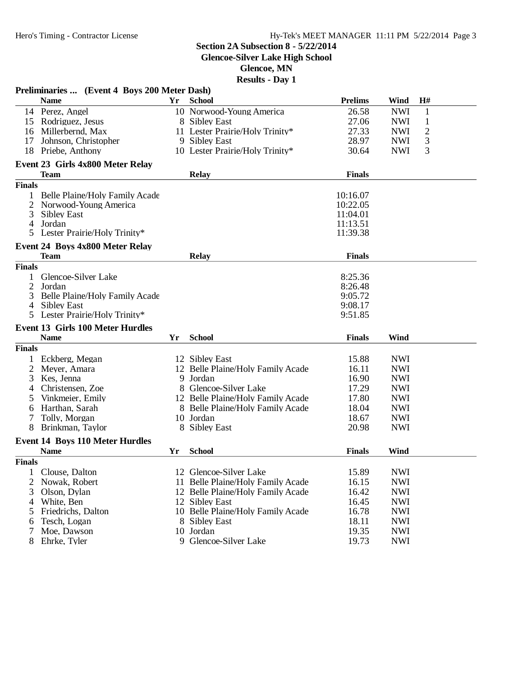**Glencoe-Silver Lake High School**

**Glencoe, MN**

| <b>Prelims</b><br>H#<br><b>Name</b><br>Yr<br><b>School</b><br>Wind<br>14 Perez, Angel<br>10 Norwood-Young America<br>26.58<br><b>NWI</b><br>$\mathbf{1}$<br>$\mathbf{1}$<br>27.06<br><b>NWI</b><br>15 Rodriguez, Jesus<br>8 Sibley East<br>$\overline{c}$<br>16 Millerbernd, Max<br>11 Lester Prairie/Holy Trinity*<br>27.33<br><b>NWI</b><br>3<br>28.97<br>17<br>Johnson, Christopher<br>9 Sibley East<br><b>NWI</b><br>3<br>30.64<br><b>NWI</b><br>18 Priebe, Anthony<br>10 Lester Prairie/Holy Trinity*<br>Event 23 Girls 4x800 Meter Relay<br><b>Relay</b><br><b>Team</b><br><b>Finals</b><br><b>Finals</b><br>10:16.07<br>Belle Plaine/Holy Family Acade<br>10:22.05<br>2<br>Norwood-Young America<br>11:04.01<br>3<br><b>Sibley East</b><br>11:13.51<br>Jordan<br>4<br>Lester Prairie/Holy Trinity*<br>11:39.38<br>5<br>Event 24 Boys 4x800 Meter Relay<br><b>Finals</b><br><b>Team</b><br><b>Relay</b><br><b>Finals</b><br>Glencoe-Silver Lake<br>8:25.36<br>2<br>Jordan<br>8:26.48<br>Belle Plaine/Holy Family Acade<br>3<br>9:05.72<br><b>Sibley East</b><br>9:08.17<br>4<br>Lester Prairie/Holy Trinity*<br>9:51.85<br>5<br><b>Event 13 Girls 100 Meter Hurdles</b><br><b>School</b><br><b>Finals</b><br>Wind<br><b>Name</b><br>Yr<br><b>Finals</b><br>15.88<br>Eckberg, Megan<br>12 Sibley East<br><b>NWI</b> |  |
|--------------------------------------------------------------------------------------------------------------------------------------------------------------------------------------------------------------------------------------------------------------------------------------------------------------------------------------------------------------------------------------------------------------------------------------------------------------------------------------------------------------------------------------------------------------------------------------------------------------------------------------------------------------------------------------------------------------------------------------------------------------------------------------------------------------------------------------------------------------------------------------------------------------------------------------------------------------------------------------------------------------------------------------------------------------------------------------------------------------------------------------------------------------------------------------------------------------------------------------------------------------------------------------------------------------------------|--|
|                                                                                                                                                                                                                                                                                                                                                                                                                                                                                                                                                                                                                                                                                                                                                                                                                                                                                                                                                                                                                                                                                                                                                                                                                                                                                                                          |  |
|                                                                                                                                                                                                                                                                                                                                                                                                                                                                                                                                                                                                                                                                                                                                                                                                                                                                                                                                                                                                                                                                                                                                                                                                                                                                                                                          |  |
|                                                                                                                                                                                                                                                                                                                                                                                                                                                                                                                                                                                                                                                                                                                                                                                                                                                                                                                                                                                                                                                                                                                                                                                                                                                                                                                          |  |
|                                                                                                                                                                                                                                                                                                                                                                                                                                                                                                                                                                                                                                                                                                                                                                                                                                                                                                                                                                                                                                                                                                                                                                                                                                                                                                                          |  |
|                                                                                                                                                                                                                                                                                                                                                                                                                                                                                                                                                                                                                                                                                                                                                                                                                                                                                                                                                                                                                                                                                                                                                                                                                                                                                                                          |  |
|                                                                                                                                                                                                                                                                                                                                                                                                                                                                                                                                                                                                                                                                                                                                                                                                                                                                                                                                                                                                                                                                                                                                                                                                                                                                                                                          |  |
|                                                                                                                                                                                                                                                                                                                                                                                                                                                                                                                                                                                                                                                                                                                                                                                                                                                                                                                                                                                                                                                                                                                                                                                                                                                                                                                          |  |
|                                                                                                                                                                                                                                                                                                                                                                                                                                                                                                                                                                                                                                                                                                                                                                                                                                                                                                                                                                                                                                                                                                                                                                                                                                                                                                                          |  |
|                                                                                                                                                                                                                                                                                                                                                                                                                                                                                                                                                                                                                                                                                                                                                                                                                                                                                                                                                                                                                                                                                                                                                                                                                                                                                                                          |  |
|                                                                                                                                                                                                                                                                                                                                                                                                                                                                                                                                                                                                                                                                                                                                                                                                                                                                                                                                                                                                                                                                                                                                                                                                                                                                                                                          |  |
|                                                                                                                                                                                                                                                                                                                                                                                                                                                                                                                                                                                                                                                                                                                                                                                                                                                                                                                                                                                                                                                                                                                                                                                                                                                                                                                          |  |
|                                                                                                                                                                                                                                                                                                                                                                                                                                                                                                                                                                                                                                                                                                                                                                                                                                                                                                                                                                                                                                                                                                                                                                                                                                                                                                                          |  |
|                                                                                                                                                                                                                                                                                                                                                                                                                                                                                                                                                                                                                                                                                                                                                                                                                                                                                                                                                                                                                                                                                                                                                                                                                                                                                                                          |  |
|                                                                                                                                                                                                                                                                                                                                                                                                                                                                                                                                                                                                                                                                                                                                                                                                                                                                                                                                                                                                                                                                                                                                                                                                                                                                                                                          |  |
|                                                                                                                                                                                                                                                                                                                                                                                                                                                                                                                                                                                                                                                                                                                                                                                                                                                                                                                                                                                                                                                                                                                                                                                                                                                                                                                          |  |
|                                                                                                                                                                                                                                                                                                                                                                                                                                                                                                                                                                                                                                                                                                                                                                                                                                                                                                                                                                                                                                                                                                                                                                                                                                                                                                                          |  |
|                                                                                                                                                                                                                                                                                                                                                                                                                                                                                                                                                                                                                                                                                                                                                                                                                                                                                                                                                                                                                                                                                                                                                                                                                                                                                                                          |  |
|                                                                                                                                                                                                                                                                                                                                                                                                                                                                                                                                                                                                                                                                                                                                                                                                                                                                                                                                                                                                                                                                                                                                                                                                                                                                                                                          |  |
|                                                                                                                                                                                                                                                                                                                                                                                                                                                                                                                                                                                                                                                                                                                                                                                                                                                                                                                                                                                                                                                                                                                                                                                                                                                                                                                          |  |
|                                                                                                                                                                                                                                                                                                                                                                                                                                                                                                                                                                                                                                                                                                                                                                                                                                                                                                                                                                                                                                                                                                                                                                                                                                                                                                                          |  |
|                                                                                                                                                                                                                                                                                                                                                                                                                                                                                                                                                                                                                                                                                                                                                                                                                                                                                                                                                                                                                                                                                                                                                                                                                                                                                                                          |  |
|                                                                                                                                                                                                                                                                                                                                                                                                                                                                                                                                                                                                                                                                                                                                                                                                                                                                                                                                                                                                                                                                                                                                                                                                                                                                                                                          |  |
|                                                                                                                                                                                                                                                                                                                                                                                                                                                                                                                                                                                                                                                                                                                                                                                                                                                                                                                                                                                                                                                                                                                                                                                                                                                                                                                          |  |
|                                                                                                                                                                                                                                                                                                                                                                                                                                                                                                                                                                                                                                                                                                                                                                                                                                                                                                                                                                                                                                                                                                                                                                                                                                                                                                                          |  |
|                                                                                                                                                                                                                                                                                                                                                                                                                                                                                                                                                                                                                                                                                                                                                                                                                                                                                                                                                                                                                                                                                                                                                                                                                                                                                                                          |  |
|                                                                                                                                                                                                                                                                                                                                                                                                                                                                                                                                                                                                                                                                                                                                                                                                                                                                                                                                                                                                                                                                                                                                                                                                                                                                                                                          |  |
| 12 Belle Plaine/Holy Family Acade<br>16.11<br><b>NWI</b><br>2<br>Meyer, Amara                                                                                                                                                                                                                                                                                                                                                                                                                                                                                                                                                                                                                                                                                                                                                                                                                                                                                                                                                                                                                                                                                                                                                                                                                                            |  |
| 9 Jordan<br>16.90<br><b>NWI</b><br>3<br>Kes, Jenna                                                                                                                                                                                                                                                                                                                                                                                                                                                                                                                                                                                                                                                                                                                                                                                                                                                                                                                                                                                                                                                                                                                                                                                                                                                                       |  |
| 8 Glencoe-Silver Lake<br>17.29<br><b>NWI</b><br>Christensen, Zoe<br>4                                                                                                                                                                                                                                                                                                                                                                                                                                                                                                                                                                                                                                                                                                                                                                                                                                                                                                                                                                                                                                                                                                                                                                                                                                                    |  |
| 12 Belle Plaine/Holy Family Acade<br>17.80<br><b>NWI</b><br>Vinkmeier, Emily<br>5                                                                                                                                                                                                                                                                                                                                                                                                                                                                                                                                                                                                                                                                                                                                                                                                                                                                                                                                                                                                                                                                                                                                                                                                                                        |  |
| <b>NWI</b><br>Harthan, Sarah<br>8 Belle Plaine/Holy Family Acade<br>18.04<br>6                                                                                                                                                                                                                                                                                                                                                                                                                                                                                                                                                                                                                                                                                                                                                                                                                                                                                                                                                                                                                                                                                                                                                                                                                                           |  |
| 10 Jordan<br>18.67<br><b>NWI</b><br>Tolly, Morgan<br>7                                                                                                                                                                                                                                                                                                                                                                                                                                                                                                                                                                                                                                                                                                                                                                                                                                                                                                                                                                                                                                                                                                                                                                                                                                                                   |  |
| 20.98<br><b>NWI</b><br>8<br>Brinkman, Taylor<br>8 Sibley East                                                                                                                                                                                                                                                                                                                                                                                                                                                                                                                                                                                                                                                                                                                                                                                                                                                                                                                                                                                                                                                                                                                                                                                                                                                            |  |
| <b>Event 14 Boys 110 Meter Hurdles</b>                                                                                                                                                                                                                                                                                                                                                                                                                                                                                                                                                                                                                                                                                                                                                                                                                                                                                                                                                                                                                                                                                                                                                                                                                                                                                   |  |
| <b>School</b><br>Wind<br><b>Name</b><br><b>Finals</b><br>Yr                                                                                                                                                                                                                                                                                                                                                                                                                                                                                                                                                                                                                                                                                                                                                                                                                                                                                                                                                                                                                                                                                                                                                                                                                                                              |  |
| <b>Finals</b>                                                                                                                                                                                                                                                                                                                                                                                                                                                                                                                                                                                                                                                                                                                                                                                                                                                                                                                                                                                                                                                                                                                                                                                                                                                                                                            |  |
| 15.89<br><b>NWI</b><br>12 Glencoe-Silver Lake<br>Clouse, Dalton                                                                                                                                                                                                                                                                                                                                                                                                                                                                                                                                                                                                                                                                                                                                                                                                                                                                                                                                                                                                                                                                                                                                                                                                                                                          |  |
| 16.15<br><b>NWI</b><br>Nowak, Robert<br>Belle Plaine/Holy Family Acade<br>2<br>11.                                                                                                                                                                                                                                                                                                                                                                                                                                                                                                                                                                                                                                                                                                                                                                                                                                                                                                                                                                                                                                                                                                                                                                                                                                       |  |
| 16.42<br><b>NWI</b><br>3<br>Olson, Dylan<br>12 Belle Plaine/Holy Family Acade                                                                                                                                                                                                                                                                                                                                                                                                                                                                                                                                                                                                                                                                                                                                                                                                                                                                                                                                                                                                                                                                                                                                                                                                                                            |  |
| 16.45<br><b>NWI</b><br>White, Ben<br>12 Sibley East<br>4                                                                                                                                                                                                                                                                                                                                                                                                                                                                                                                                                                                                                                                                                                                                                                                                                                                                                                                                                                                                                                                                                                                                                                                                                                                                 |  |
| Friedrichs, Dalton<br>10 Belle Plaine/Holy Family Acade<br>16.78<br><b>NWI</b><br>5                                                                                                                                                                                                                                                                                                                                                                                                                                                                                                                                                                                                                                                                                                                                                                                                                                                                                                                                                                                                                                                                                                                                                                                                                                      |  |
| 18.11<br><b>NWI</b><br>Tesch, Logan<br>8 Sibley East<br>6                                                                                                                                                                                                                                                                                                                                                                                                                                                                                                                                                                                                                                                                                                                                                                                                                                                                                                                                                                                                                                                                                                                                                                                                                                                                |  |
| 10 Jordan<br>19.35<br><b>NWI</b><br>Moe, Dawson<br>7                                                                                                                                                                                                                                                                                                                                                                                                                                                                                                                                                                                                                                                                                                                                                                                                                                                                                                                                                                                                                                                                                                                                                                                                                                                                     |  |
| 9 Glencoe-Silver Lake<br>19.73<br><b>NWI</b><br>8<br>Ehrke, Tyler                                                                                                                                                                                                                                                                                                                                                                                                                                                                                                                                                                                                                                                                                                                                                                                                                                                                                                                                                                                                                                                                                                                                                                                                                                                        |  |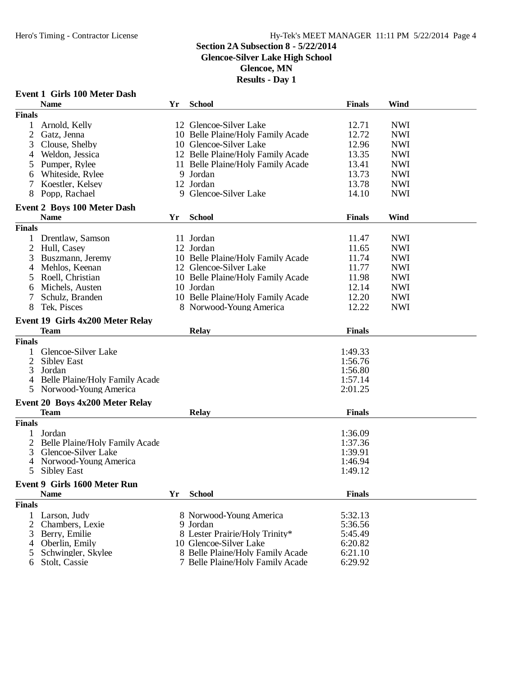### **Section 2A Subsection 8 - 5/22/2014**

**Glencoe-Silver Lake High School**

**Glencoe, MN**

| <b>School</b><br>Wind<br><b>Name</b><br><b>Finals</b><br>Yr<br><b>Finals</b><br>12 Glencoe-Silver Lake<br>1<br>Arnold, Kelly<br>12.71<br><b>NWI</b><br>2<br>10 Belle Plaine/Holy Family Acade<br>12.72<br><b>NWI</b><br>Gatz, Jenna<br>12.96<br><b>NWI</b><br>3<br>Clouse, Shelby<br>10 Glencoe-Silver Lake<br>12 Belle Plaine/Holy Family Acade<br>13.35<br><b>NWI</b><br>Weldon, Jessica<br>4<br>Pumper, Rylee<br>11 Belle Plaine/Holy Family Acade<br>13.41<br><b>NWI</b><br>5<br>Whiteside, Rylee<br>9 Jordan<br>13.73<br><b>NWI</b><br>6<br>12 Jordan<br>13.78<br><b>NWI</b><br>7<br>Koestler, Kelsey<br>9 Glencoe-Silver Lake<br><b>NWI</b><br>8<br>Popp, Rachael<br>14.10<br><b>Event 2 Boys 100 Meter Dash</b><br><b>Name</b><br><b>School</b><br><b>Finals</b><br>Wind<br>Yr<br><b>Finals</b><br><b>NWI</b><br>1 Drentlaw, Samson<br>11 Jordan<br>11.47<br>12 Jordan<br>11.65<br><b>NWI</b><br>2<br>Hull, Casey<br>Buszmann, Jeremy<br>10 Belle Plaine/Holy Family Acade<br>11.74<br><b>NWI</b><br>3<br>12 Glencoe-Silver Lake<br>11.77<br>Mehlos, Keenan<br><b>NWI</b><br>4<br><b>NWI</b><br>Roell, Christian<br>10 Belle Plaine/Holy Family Acade<br>11.98<br>5<br><b>NWI</b><br>Michels, Austen<br>10 Jordan<br>12.14<br>6<br>12.20<br><b>NWI</b><br>7<br>Schulz, Branden<br>10 Belle Plaine/Holy Family Acade<br>8<br>Tek, Pisces<br>12.22<br><b>NWI</b><br>8 Norwood-Young America<br>Event 19 Girls 4x200 Meter Relay<br><b>Team</b><br><b>Relay</b><br><b>Finals</b><br><b>Finals</b><br>Glencoe-Silver Lake<br>1:49.33<br>1<br>2<br><b>Sibley East</b><br>1:56.76<br>3<br>Jordan<br>1:56.80<br>Belle Plaine/Holy Family Acade<br>1:57.14<br>4<br>Norwood-Young America<br>5<br>2:01.25<br>Event 20 Boys 4x200 Meter Relay<br><b>Team</b><br><b>Finals</b><br><b>Relay</b><br><b>Finals</b><br>Jordan<br>1:36.09<br>Belle Plaine/Holy Family Acade<br>1:37.36<br>Glencoe-Silver Lake<br>1:39.91<br>3<br>Norwood-Young America<br>1:46.94<br>4<br>5<br>1:49.12<br>Sibley East<br>Event 9 Girls 1600 Meter Run<br><b>School</b><br><b>Finals</b><br><b>Name</b><br>Yr<br><b>Finals</b><br>Larson, Judy<br>8 Norwood-Young America<br>5:32.13<br>1.<br>2<br>Chambers, Lexie<br>9 Jordan<br>5:36.56<br>8 Lester Prairie/Holy Trinity*<br>3<br>Berry, Emilie<br>5:45.49<br>10 Glencoe-Silver Lake<br>6:20.82<br>Oberlin, Emily<br>4<br>Schwingler, Skylee<br>8 Belle Plaine/Holy Family Acade<br>6:21.10<br>5<br>7 Belle Plaine/Holy Family Acade<br>6:29.92<br>Stolt, Cassie<br>6 | <b>Event 1 Girls 100 Meter Dash</b> |  |  |
|-----------------------------------------------------------------------------------------------------------------------------------------------------------------------------------------------------------------------------------------------------------------------------------------------------------------------------------------------------------------------------------------------------------------------------------------------------------------------------------------------------------------------------------------------------------------------------------------------------------------------------------------------------------------------------------------------------------------------------------------------------------------------------------------------------------------------------------------------------------------------------------------------------------------------------------------------------------------------------------------------------------------------------------------------------------------------------------------------------------------------------------------------------------------------------------------------------------------------------------------------------------------------------------------------------------------------------------------------------------------------------------------------------------------------------------------------------------------------------------------------------------------------------------------------------------------------------------------------------------------------------------------------------------------------------------------------------------------------------------------------------------------------------------------------------------------------------------------------------------------------------------------------------------------------------------------------------------------------------------------------------------------------------------------------------------------------------------------------------------------------------------------------------------------------------------------------------------------------------------------------------------------------------------------------------------------------------------------------------------------------------------------------------------------------------------------------------------------------------------------------|-------------------------------------|--|--|
|                                                                                                                                                                                                                                                                                                                                                                                                                                                                                                                                                                                                                                                                                                                                                                                                                                                                                                                                                                                                                                                                                                                                                                                                                                                                                                                                                                                                                                                                                                                                                                                                                                                                                                                                                                                                                                                                                                                                                                                                                                                                                                                                                                                                                                                                                                                                                                                                                                                                                               |                                     |  |  |
|                                                                                                                                                                                                                                                                                                                                                                                                                                                                                                                                                                                                                                                                                                                                                                                                                                                                                                                                                                                                                                                                                                                                                                                                                                                                                                                                                                                                                                                                                                                                                                                                                                                                                                                                                                                                                                                                                                                                                                                                                                                                                                                                                                                                                                                                                                                                                                                                                                                                                               |                                     |  |  |
|                                                                                                                                                                                                                                                                                                                                                                                                                                                                                                                                                                                                                                                                                                                                                                                                                                                                                                                                                                                                                                                                                                                                                                                                                                                                                                                                                                                                                                                                                                                                                                                                                                                                                                                                                                                                                                                                                                                                                                                                                                                                                                                                                                                                                                                                                                                                                                                                                                                                                               |                                     |  |  |
|                                                                                                                                                                                                                                                                                                                                                                                                                                                                                                                                                                                                                                                                                                                                                                                                                                                                                                                                                                                                                                                                                                                                                                                                                                                                                                                                                                                                                                                                                                                                                                                                                                                                                                                                                                                                                                                                                                                                                                                                                                                                                                                                                                                                                                                                                                                                                                                                                                                                                               |                                     |  |  |
|                                                                                                                                                                                                                                                                                                                                                                                                                                                                                                                                                                                                                                                                                                                                                                                                                                                                                                                                                                                                                                                                                                                                                                                                                                                                                                                                                                                                                                                                                                                                                                                                                                                                                                                                                                                                                                                                                                                                                                                                                                                                                                                                                                                                                                                                                                                                                                                                                                                                                               |                                     |  |  |
|                                                                                                                                                                                                                                                                                                                                                                                                                                                                                                                                                                                                                                                                                                                                                                                                                                                                                                                                                                                                                                                                                                                                                                                                                                                                                                                                                                                                                                                                                                                                                                                                                                                                                                                                                                                                                                                                                                                                                                                                                                                                                                                                                                                                                                                                                                                                                                                                                                                                                               |                                     |  |  |
|                                                                                                                                                                                                                                                                                                                                                                                                                                                                                                                                                                                                                                                                                                                                                                                                                                                                                                                                                                                                                                                                                                                                                                                                                                                                                                                                                                                                                                                                                                                                                                                                                                                                                                                                                                                                                                                                                                                                                                                                                                                                                                                                                                                                                                                                                                                                                                                                                                                                                               |                                     |  |  |
|                                                                                                                                                                                                                                                                                                                                                                                                                                                                                                                                                                                                                                                                                                                                                                                                                                                                                                                                                                                                                                                                                                                                                                                                                                                                                                                                                                                                                                                                                                                                                                                                                                                                                                                                                                                                                                                                                                                                                                                                                                                                                                                                                                                                                                                                                                                                                                                                                                                                                               |                                     |  |  |
|                                                                                                                                                                                                                                                                                                                                                                                                                                                                                                                                                                                                                                                                                                                                                                                                                                                                                                                                                                                                                                                                                                                                                                                                                                                                                                                                                                                                                                                                                                                                                                                                                                                                                                                                                                                                                                                                                                                                                                                                                                                                                                                                                                                                                                                                                                                                                                                                                                                                                               |                                     |  |  |
|                                                                                                                                                                                                                                                                                                                                                                                                                                                                                                                                                                                                                                                                                                                                                                                                                                                                                                                                                                                                                                                                                                                                                                                                                                                                                                                                                                                                                                                                                                                                                                                                                                                                                                                                                                                                                                                                                                                                                                                                                                                                                                                                                                                                                                                                                                                                                                                                                                                                                               |                                     |  |  |
|                                                                                                                                                                                                                                                                                                                                                                                                                                                                                                                                                                                                                                                                                                                                                                                                                                                                                                                                                                                                                                                                                                                                                                                                                                                                                                                                                                                                                                                                                                                                                                                                                                                                                                                                                                                                                                                                                                                                                                                                                                                                                                                                                                                                                                                                                                                                                                                                                                                                                               |                                     |  |  |
|                                                                                                                                                                                                                                                                                                                                                                                                                                                                                                                                                                                                                                                                                                                                                                                                                                                                                                                                                                                                                                                                                                                                                                                                                                                                                                                                                                                                                                                                                                                                                                                                                                                                                                                                                                                                                                                                                                                                                                                                                                                                                                                                                                                                                                                                                                                                                                                                                                                                                               |                                     |  |  |
|                                                                                                                                                                                                                                                                                                                                                                                                                                                                                                                                                                                                                                                                                                                                                                                                                                                                                                                                                                                                                                                                                                                                                                                                                                                                                                                                                                                                                                                                                                                                                                                                                                                                                                                                                                                                                                                                                                                                                                                                                                                                                                                                                                                                                                                                                                                                                                                                                                                                                               |                                     |  |  |
|                                                                                                                                                                                                                                                                                                                                                                                                                                                                                                                                                                                                                                                                                                                                                                                                                                                                                                                                                                                                                                                                                                                                                                                                                                                                                                                                                                                                                                                                                                                                                                                                                                                                                                                                                                                                                                                                                                                                                                                                                                                                                                                                                                                                                                                                                                                                                                                                                                                                                               |                                     |  |  |
|                                                                                                                                                                                                                                                                                                                                                                                                                                                                                                                                                                                                                                                                                                                                                                                                                                                                                                                                                                                                                                                                                                                                                                                                                                                                                                                                                                                                                                                                                                                                                                                                                                                                                                                                                                                                                                                                                                                                                                                                                                                                                                                                                                                                                                                                                                                                                                                                                                                                                               |                                     |  |  |
|                                                                                                                                                                                                                                                                                                                                                                                                                                                                                                                                                                                                                                                                                                                                                                                                                                                                                                                                                                                                                                                                                                                                                                                                                                                                                                                                                                                                                                                                                                                                                                                                                                                                                                                                                                                                                                                                                                                                                                                                                                                                                                                                                                                                                                                                                                                                                                                                                                                                                               |                                     |  |  |
|                                                                                                                                                                                                                                                                                                                                                                                                                                                                                                                                                                                                                                                                                                                                                                                                                                                                                                                                                                                                                                                                                                                                                                                                                                                                                                                                                                                                                                                                                                                                                                                                                                                                                                                                                                                                                                                                                                                                                                                                                                                                                                                                                                                                                                                                                                                                                                                                                                                                                               |                                     |  |  |
|                                                                                                                                                                                                                                                                                                                                                                                                                                                                                                                                                                                                                                                                                                                                                                                                                                                                                                                                                                                                                                                                                                                                                                                                                                                                                                                                                                                                                                                                                                                                                                                                                                                                                                                                                                                                                                                                                                                                                                                                                                                                                                                                                                                                                                                                                                                                                                                                                                                                                               |                                     |  |  |
|                                                                                                                                                                                                                                                                                                                                                                                                                                                                                                                                                                                                                                                                                                                                                                                                                                                                                                                                                                                                                                                                                                                                                                                                                                                                                                                                                                                                                                                                                                                                                                                                                                                                                                                                                                                                                                                                                                                                                                                                                                                                                                                                                                                                                                                                                                                                                                                                                                                                                               |                                     |  |  |
|                                                                                                                                                                                                                                                                                                                                                                                                                                                                                                                                                                                                                                                                                                                                                                                                                                                                                                                                                                                                                                                                                                                                                                                                                                                                                                                                                                                                                                                                                                                                                                                                                                                                                                                                                                                                                                                                                                                                                                                                                                                                                                                                                                                                                                                                                                                                                                                                                                                                                               |                                     |  |  |
|                                                                                                                                                                                                                                                                                                                                                                                                                                                                                                                                                                                                                                                                                                                                                                                                                                                                                                                                                                                                                                                                                                                                                                                                                                                                                                                                                                                                                                                                                                                                                                                                                                                                                                                                                                                                                                                                                                                                                                                                                                                                                                                                                                                                                                                                                                                                                                                                                                                                                               |                                     |  |  |
|                                                                                                                                                                                                                                                                                                                                                                                                                                                                                                                                                                                                                                                                                                                                                                                                                                                                                                                                                                                                                                                                                                                                                                                                                                                                                                                                                                                                                                                                                                                                                                                                                                                                                                                                                                                                                                                                                                                                                                                                                                                                                                                                                                                                                                                                                                                                                                                                                                                                                               |                                     |  |  |
|                                                                                                                                                                                                                                                                                                                                                                                                                                                                                                                                                                                                                                                                                                                                                                                                                                                                                                                                                                                                                                                                                                                                                                                                                                                                                                                                                                                                                                                                                                                                                                                                                                                                                                                                                                                                                                                                                                                                                                                                                                                                                                                                                                                                                                                                                                                                                                                                                                                                                               |                                     |  |  |
|                                                                                                                                                                                                                                                                                                                                                                                                                                                                                                                                                                                                                                                                                                                                                                                                                                                                                                                                                                                                                                                                                                                                                                                                                                                                                                                                                                                                                                                                                                                                                                                                                                                                                                                                                                                                                                                                                                                                                                                                                                                                                                                                                                                                                                                                                                                                                                                                                                                                                               |                                     |  |  |
|                                                                                                                                                                                                                                                                                                                                                                                                                                                                                                                                                                                                                                                                                                                                                                                                                                                                                                                                                                                                                                                                                                                                                                                                                                                                                                                                                                                                                                                                                                                                                                                                                                                                                                                                                                                                                                                                                                                                                                                                                                                                                                                                                                                                                                                                                                                                                                                                                                                                                               |                                     |  |  |
|                                                                                                                                                                                                                                                                                                                                                                                                                                                                                                                                                                                                                                                                                                                                                                                                                                                                                                                                                                                                                                                                                                                                                                                                                                                                                                                                                                                                                                                                                                                                                                                                                                                                                                                                                                                                                                                                                                                                                                                                                                                                                                                                                                                                                                                                                                                                                                                                                                                                                               |                                     |  |  |
|                                                                                                                                                                                                                                                                                                                                                                                                                                                                                                                                                                                                                                                                                                                                                                                                                                                                                                                                                                                                                                                                                                                                                                                                                                                                                                                                                                                                                                                                                                                                                                                                                                                                                                                                                                                                                                                                                                                                                                                                                                                                                                                                                                                                                                                                                                                                                                                                                                                                                               |                                     |  |  |
|                                                                                                                                                                                                                                                                                                                                                                                                                                                                                                                                                                                                                                                                                                                                                                                                                                                                                                                                                                                                                                                                                                                                                                                                                                                                                                                                                                                                                                                                                                                                                                                                                                                                                                                                                                                                                                                                                                                                                                                                                                                                                                                                                                                                                                                                                                                                                                                                                                                                                               |                                     |  |  |
|                                                                                                                                                                                                                                                                                                                                                                                                                                                                                                                                                                                                                                                                                                                                                                                                                                                                                                                                                                                                                                                                                                                                                                                                                                                                                                                                                                                                                                                                                                                                                                                                                                                                                                                                                                                                                                                                                                                                                                                                                                                                                                                                                                                                                                                                                                                                                                                                                                                                                               |                                     |  |  |
|                                                                                                                                                                                                                                                                                                                                                                                                                                                                                                                                                                                                                                                                                                                                                                                                                                                                                                                                                                                                                                                                                                                                                                                                                                                                                                                                                                                                                                                                                                                                                                                                                                                                                                                                                                                                                                                                                                                                                                                                                                                                                                                                                                                                                                                                                                                                                                                                                                                                                               |                                     |  |  |
|                                                                                                                                                                                                                                                                                                                                                                                                                                                                                                                                                                                                                                                                                                                                                                                                                                                                                                                                                                                                                                                                                                                                                                                                                                                                                                                                                                                                                                                                                                                                                                                                                                                                                                                                                                                                                                                                                                                                                                                                                                                                                                                                                                                                                                                                                                                                                                                                                                                                                               |                                     |  |  |
|                                                                                                                                                                                                                                                                                                                                                                                                                                                                                                                                                                                                                                                                                                                                                                                                                                                                                                                                                                                                                                                                                                                                                                                                                                                                                                                                                                                                                                                                                                                                                                                                                                                                                                                                                                                                                                                                                                                                                                                                                                                                                                                                                                                                                                                                                                                                                                                                                                                                                               |                                     |  |  |
|                                                                                                                                                                                                                                                                                                                                                                                                                                                                                                                                                                                                                                                                                                                                                                                                                                                                                                                                                                                                                                                                                                                                                                                                                                                                                                                                                                                                                                                                                                                                                                                                                                                                                                                                                                                                                                                                                                                                                                                                                                                                                                                                                                                                                                                                                                                                                                                                                                                                                               |                                     |  |  |
|                                                                                                                                                                                                                                                                                                                                                                                                                                                                                                                                                                                                                                                                                                                                                                                                                                                                                                                                                                                                                                                                                                                                                                                                                                                                                                                                                                                                                                                                                                                                                                                                                                                                                                                                                                                                                                                                                                                                                                                                                                                                                                                                                                                                                                                                                                                                                                                                                                                                                               |                                     |  |  |
|                                                                                                                                                                                                                                                                                                                                                                                                                                                                                                                                                                                                                                                                                                                                                                                                                                                                                                                                                                                                                                                                                                                                                                                                                                                                                                                                                                                                                                                                                                                                                                                                                                                                                                                                                                                                                                                                                                                                                                                                                                                                                                                                                                                                                                                                                                                                                                                                                                                                                               |                                     |  |  |
|                                                                                                                                                                                                                                                                                                                                                                                                                                                                                                                                                                                                                                                                                                                                                                                                                                                                                                                                                                                                                                                                                                                                                                                                                                                                                                                                                                                                                                                                                                                                                                                                                                                                                                                                                                                                                                                                                                                                                                                                                                                                                                                                                                                                                                                                                                                                                                                                                                                                                               |                                     |  |  |
|                                                                                                                                                                                                                                                                                                                                                                                                                                                                                                                                                                                                                                                                                                                                                                                                                                                                                                                                                                                                                                                                                                                                                                                                                                                                                                                                                                                                                                                                                                                                                                                                                                                                                                                                                                                                                                                                                                                                                                                                                                                                                                                                                                                                                                                                                                                                                                                                                                                                                               |                                     |  |  |
|                                                                                                                                                                                                                                                                                                                                                                                                                                                                                                                                                                                                                                                                                                                                                                                                                                                                                                                                                                                                                                                                                                                                                                                                                                                                                                                                                                                                                                                                                                                                                                                                                                                                                                                                                                                                                                                                                                                                                                                                                                                                                                                                                                                                                                                                                                                                                                                                                                                                                               |                                     |  |  |
|                                                                                                                                                                                                                                                                                                                                                                                                                                                                                                                                                                                                                                                                                                                                                                                                                                                                                                                                                                                                                                                                                                                                                                                                                                                                                                                                                                                                                                                                                                                                                                                                                                                                                                                                                                                                                                                                                                                                                                                                                                                                                                                                                                                                                                                                                                                                                                                                                                                                                               |                                     |  |  |
|                                                                                                                                                                                                                                                                                                                                                                                                                                                                                                                                                                                                                                                                                                                                                                                                                                                                                                                                                                                                                                                                                                                                                                                                                                                                                                                                                                                                                                                                                                                                                                                                                                                                                                                                                                                                                                                                                                                                                                                                                                                                                                                                                                                                                                                                                                                                                                                                                                                                                               |                                     |  |  |
|                                                                                                                                                                                                                                                                                                                                                                                                                                                                                                                                                                                                                                                                                                                                                                                                                                                                                                                                                                                                                                                                                                                                                                                                                                                                                                                                                                                                                                                                                                                                                                                                                                                                                                                                                                                                                                                                                                                                                                                                                                                                                                                                                                                                                                                                                                                                                                                                                                                                                               |                                     |  |  |
|                                                                                                                                                                                                                                                                                                                                                                                                                                                                                                                                                                                                                                                                                                                                                                                                                                                                                                                                                                                                                                                                                                                                                                                                                                                                                                                                                                                                                                                                                                                                                                                                                                                                                                                                                                                                                                                                                                                                                                                                                                                                                                                                                                                                                                                                                                                                                                                                                                                                                               |                                     |  |  |
|                                                                                                                                                                                                                                                                                                                                                                                                                                                                                                                                                                                                                                                                                                                                                                                                                                                                                                                                                                                                                                                                                                                                                                                                                                                                                                                                                                                                                                                                                                                                                                                                                                                                                                                                                                                                                                                                                                                                                                                                                                                                                                                                                                                                                                                                                                                                                                                                                                                                                               |                                     |  |  |
|                                                                                                                                                                                                                                                                                                                                                                                                                                                                                                                                                                                                                                                                                                                                                                                                                                                                                                                                                                                                                                                                                                                                                                                                                                                                                                                                                                                                                                                                                                                                                                                                                                                                                                                                                                                                                                                                                                                                                                                                                                                                                                                                                                                                                                                                                                                                                                                                                                                                                               |                                     |  |  |
|                                                                                                                                                                                                                                                                                                                                                                                                                                                                                                                                                                                                                                                                                                                                                                                                                                                                                                                                                                                                                                                                                                                                                                                                                                                                                                                                                                                                                                                                                                                                                                                                                                                                                                                                                                                                                                                                                                                                                                                                                                                                                                                                                                                                                                                                                                                                                                                                                                                                                               |                                     |  |  |
|                                                                                                                                                                                                                                                                                                                                                                                                                                                                                                                                                                                                                                                                                                                                                                                                                                                                                                                                                                                                                                                                                                                                                                                                                                                                                                                                                                                                                                                                                                                                                                                                                                                                                                                                                                                                                                                                                                                                                                                                                                                                                                                                                                                                                                                                                                                                                                                                                                                                                               |                                     |  |  |
|                                                                                                                                                                                                                                                                                                                                                                                                                                                                                                                                                                                                                                                                                                                                                                                                                                                                                                                                                                                                                                                                                                                                                                                                                                                                                                                                                                                                                                                                                                                                                                                                                                                                                                                                                                                                                                                                                                                                                                                                                                                                                                                                                                                                                                                                                                                                                                                                                                                                                               |                                     |  |  |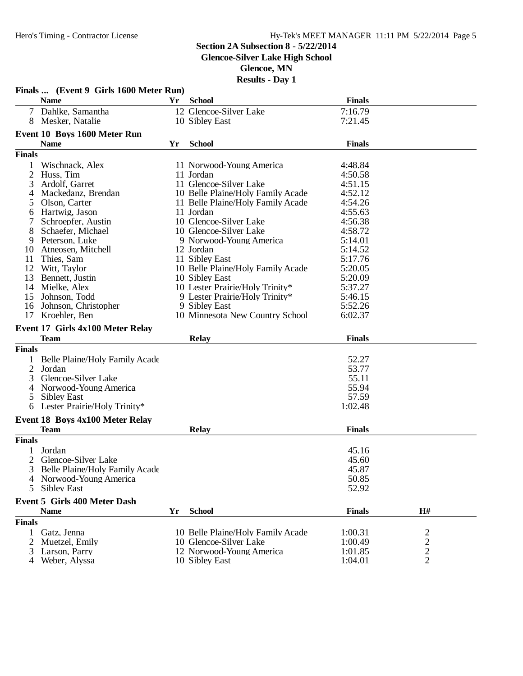### **Section 2A Subsection 8 - 5/22/2014**

**Glencoe-Silver Lake High School**

**Glencoe, MN**

|                | Finals  (Event 9 Girls 1600 Meter Run) |    |                                                  |                    |                         |
|----------------|----------------------------------------|----|--------------------------------------------------|--------------------|-------------------------|
|                | <b>Name</b>                            | Yr | <b>School</b>                                    | <b>Finals</b>      |                         |
|                | 7 Dahlke, Samantha                     |    | 12 Glencoe-Silver Lake                           | 7:16.79            |                         |
|                | 8 Mesker, Natalie                      |    | 10 Sibley East                                   | 7:21.45            |                         |
|                | Event 10 Boys 1600 Meter Run           |    |                                                  |                    |                         |
|                | <b>Name</b>                            | Yr | <b>School</b>                                    | <b>Finals</b>      |                         |
| <b>Finals</b>  |                                        |    |                                                  |                    |                         |
|                | Wischnack, Alex                        |    | 11 Norwood-Young America                         | 4:48.84            |                         |
| $\overline{2}$ | Huss, Tim                              |    | 11 Jordan                                        | 4:50.58            |                         |
| 3              | Ardolf, Garret                         |    | 11 Glencoe-Silver Lake                           | 4:51.15            |                         |
|                | Mackedanz, Brendan                     |    | 10 Belle Plaine/Holy Family Acade                | 4:52.12            |                         |
| 4<br>5         | Olson, Carter                          |    | 11 Belle Plaine/Holy Family Acade                | 4:54.26            |                         |
|                | Hartwig, Jason                         |    | 11 Jordan                                        | 4:55.63            |                         |
| 6              | Schroepfer, Austin                     |    | 10 Glencoe-Silver Lake                           | 4:56.38            |                         |
| 8              | Schaefer, Michael                      |    | 10 Glencoe-Silver Lake                           | 4:58.72            |                         |
| 9              | Peterson, Luke                         |    | 9 Norwood-Young America                          | 5:14.01            |                         |
| 10             | Atneosen, Mitchell                     |    | 12 Jordan                                        | 5:14.52            |                         |
| 11             | Thies, Sam                             |    | 11 Sibley East                                   | 5:17.76            |                         |
| 12             | Witt, Taylor                           |    | 10 Belle Plaine/Holy Family Acade                | 5:20.05            |                         |
| 13             | Bennett, Justin                        |    | 10 Sibley East                                   | 5:20.09            |                         |
| 14             | Mielke, Alex                           |    | 10 Lester Prairie/Holy Trinity*                  | 5:37.27            |                         |
| 15             | Johnson, Todd                          |    | 9 Lester Prairie/Holy Trinity*                   | 5:46.15            |                         |
|                |                                        |    |                                                  |                    |                         |
| 16             | Johnson, Christopher                   |    | 9 Sibley East<br>10 Minnesota New Country School | 5:52.26<br>6:02.37 |                         |
|                | 17 Kroehler, Ben                       |    |                                                  |                    |                         |
|                | Event 17 Girls 4x100 Meter Relay       |    |                                                  |                    |                         |
|                | <b>Team</b>                            |    | <b>Relay</b>                                     | <b>Finals</b>      |                         |
| <b>Finals</b>  |                                        |    |                                                  |                    |                         |
|                | Belle Plaine/Holy Family Acade         |    |                                                  | 52.27              |                         |
| $\overline{2}$ | Jordan                                 |    |                                                  | 53.77              |                         |
| 3              | Glencoe-Silver Lake                    |    |                                                  | 55.11              |                         |
| 4              | Norwood-Young America                  |    |                                                  | 55.94              |                         |
| 5              | <b>Sibley East</b>                     |    |                                                  | 57.59              |                         |
|                | Lester Prairie/Holy Trinity*           |    |                                                  | 1:02.48            |                         |
|                | <b>Event 18 Boys 4x100 Meter Relay</b> |    |                                                  |                    |                         |
|                | <b>Team</b>                            |    | <b>Relay</b>                                     | <b>Finals</b>      |                         |
| <b>Finals</b>  |                                        |    |                                                  |                    |                         |
|                |                                        |    |                                                  |                    |                         |
|                | Jordan                                 |    |                                                  | 45.16              |                         |
| $\overline{2}$ | Glencoe-Silver Lake                    |    |                                                  | 45.60              |                         |
| 3              | Belle Plaine/Holy Family Acade         |    |                                                  | 45.87              |                         |
| 4              | Norwood-Young America                  |    |                                                  | 50.85              |                         |
| 5              | <b>Sibley East</b>                     |    |                                                  | 52.92              |                         |
|                | <b>Event 5 Girls 400 Meter Dash</b>    |    |                                                  |                    |                         |
|                | <b>Name</b>                            | Yr | <b>School</b>                                    | <b>Finals</b>      | H#                      |
| <b>Finals</b>  |                                        |    |                                                  |                    |                         |
| 1              | Gatz, Jenna                            |    | 10 Belle Plaine/Holy Family Acade                | 1:00.31            | $\overline{\mathbf{c}}$ |
| 2              | Muetzel, Emily                         |    | 10 Glencoe-Silver Lake                           | 1:00.49            | $\overline{\mathbf{c}}$ |
| 3              | Larson, Parry                          |    | 12 Norwood-Young America                         | 1:01.85            | $\overline{c}$          |
|                | 4 Weber, Alyssa                        |    | 10 Sibley East                                   | 1:04.01            | $\overline{2}$          |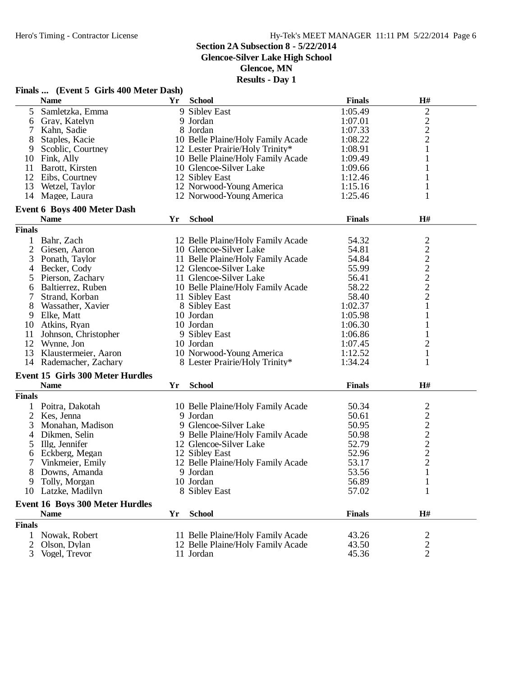**Glencoe-Silver Lake High School**

**Glencoe, MN**

|                | Finals  (Event 5 Girls 400 Meter Dash)  |    |                                   |               |                                            |
|----------------|-----------------------------------------|----|-----------------------------------|---------------|--------------------------------------------|
|                | <b>Name</b>                             | Yr | <b>School</b>                     | <b>Finals</b> | H#                                         |
| 5              | Samletzka, Emma                         |    | 9 Sibley East                     | 1:05.49       |                                            |
| 6              | Gray, Katelyn                           |    | 9 Jordan                          | 1:07.01       | $\begin{array}{c} 2 \\ 2 \\ 2 \end{array}$ |
| 7              | Kahn, Sadie                             |    | 8 Jordan                          | 1:07.33       |                                            |
| 8              | Staples, Kacie                          |    | 10 Belle Plaine/Holy Family Acade | 1:08.22       |                                            |
| 9              | Scoblic, Courtney                       |    | 12 Lester Prairie/Holy Trinity*   | 1:08.91       | $\mathbf{1}$                               |
|                | 10 Fink, Ally                           |    | 10 Belle Plaine/Holy Family Acade | 1:09.49       | 1                                          |
| 11             | Barott, Kirsten                         |    | 10 Glencoe-Silver Lake            | 1:09.66       | 1                                          |
| 12             | Eibs, Courtney                          |    | 12 Sibley East                    | 1:12.46       | 1                                          |
| 13             | Wetzel, Taylor                          |    | 12 Norwood-Young America          | 1:15.16       | 1                                          |
|                | 14 Magee, Laura                         |    | 12 Norwood-Young America          | 1:25.46       | 1                                          |
|                | <b>Event 6 Boys 400 Meter Dash</b>      |    |                                   |               |                                            |
|                | <b>Name</b>                             | Yr | <b>School</b>                     | <b>Finals</b> | H#                                         |
| <b>Finals</b>  |                                         |    |                                   |               |                                            |
| 1              | Bahr, Zach                              |    | 12 Belle Plaine/Holy Family Acade | 54.32         |                                            |
| 2              | Giesen, Aaron                           |    | 10 Glencoe-Silver Lake            | 54.81         |                                            |
| 3              | Ponath, Taylor                          |    | 11 Belle Plaine/Holy Family Acade | 54.84         |                                            |
| $\overline{4}$ | Becker, Cody                            |    | 12 Glencoe-Silver Lake            | 55.99         |                                            |
| 5              | Pierson, Zachary                        |    | 11 Glencoe-Silver Lake            | 56.41         | $\frac{2}{2}$ $\frac{2}{2}$ $\frac{2}{2}$  |
| 6              | Baltierrez, Ruben                       |    | 10 Belle Plaine/Holy Family Acade | 58.22         |                                            |
| 7              | Strand, Korban                          |    | 11 Sibley East                    | 58.40         | $\overline{c}$                             |
| 8              | Wassather, Xavier                       |    | 8 Sibley East                     | 1:02.37       | $\mathbf{1}$                               |
| 9              | Elke, Matt                              |    | 10 Jordan                         | 1:05.98       | $\mathbf{1}$                               |
| 10             | Atkins, Ryan                            |    | 10 Jordan                         | 1:06.30       | 1                                          |
| 11             | Johnson, Christopher                    |    | 9 Sibley East                     | 1:06.86       | 1                                          |
|                | 12 Wynne, Jon                           |    | 10 Jordan                         | 1:07.45       | $\overline{2}$                             |
| 13             | Klaustermeier, Aaron                    |    | 10 Norwood-Young America          | 1:12.52       | $\mathbf{1}$                               |
| 14             | Rademacher, Zachary                     |    | 8 Lester Prairie/Holy Trinity*    | 1:34.24       | 1                                          |
|                | <b>Event 15 Girls 300 Meter Hurdles</b> |    |                                   |               |                                            |
|                | <b>Name</b>                             | Yr | <b>School</b>                     | <b>Finals</b> | H#                                         |
| <b>Finals</b>  |                                         |    |                                   |               |                                            |
|                | 1 Poitra, Dakotah                       |    | 10 Belle Plaine/Holy Family Acade | 50.34         | $\overline{\mathbf{c}}$                    |
| 2              | Kes, Jenna                              |    | 9 Jordan                          | 50.61         |                                            |
| 3              | Monahan, Madison                        |    | 9 Glencoe-Silver Lake             | 50.95         |                                            |
| 4              | Dikmen, Selin                           |    | 9 Belle Plaine/Holy Family Acade  | 50.98         | $\frac{2}{2}$ $\frac{2}{2}$ $\frac{2}{2}$  |
| 5              | Illg, Jennifer                          |    | 12 Glencoe-Silver Lake            | 52.79         |                                            |
| 6              | Eckberg, Megan                          |    | 12 Sibley East                    | 52.96         |                                            |
| 7              | Vinkmeier, Emily                        |    | 12 Belle Plaine/Holy Family Acade | 53.17         |                                            |
| 8              | Downs, Amanda                           |    | 9 Jordan                          | 53.56         | $\mathbf{1}$                               |
| 9              | Tolly, Morgan                           |    | 10 Jordan                         | 56.89         | $\mathbf{1}$                               |
| 10             | Latzke, Madilyn                         |    | 8 Sibley East                     | 57.02         | 1                                          |
|                | <b>Event 16 Boys 300 Meter Hurdles</b>  |    |                                   |               |                                            |
|                | <b>Name</b>                             | Yr | <b>School</b>                     | <b>Finals</b> | H#                                         |
| <b>Finals</b>  |                                         |    |                                   |               |                                            |
| 1              | Nowak, Robert                           |    | 11 Belle Plaine/Holy Family Acade | 43.26         | 2                                          |
| 2              | Olson, Dylan                            |    | 12 Belle Plaine/Holy Family Acade | 43.50         | $\overline{c}$                             |
| 3              | Vogel, Trevor                           |    | 11 Jordan                         | 45.36         | $\overline{2}$                             |
|                |                                         |    |                                   |               |                                            |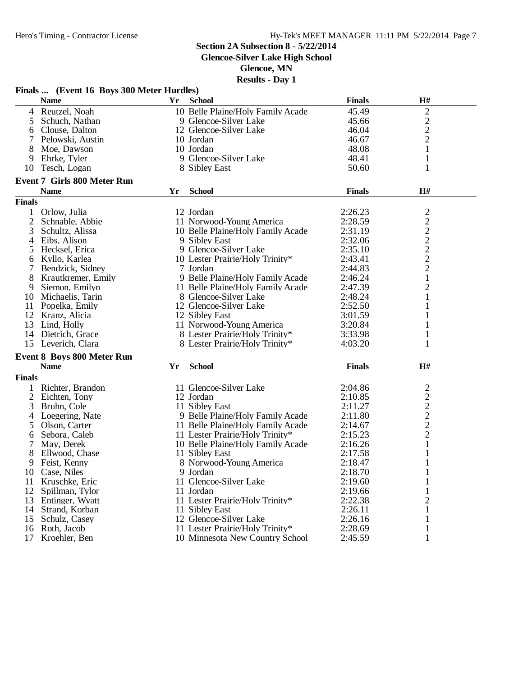**Glencoe-Silver Lake High School**

**Glencoe, MN**

|                | Finals  (Event 16 Boys 300 Meter Hurdles) |    |                                   |               |                                            |  |
|----------------|-------------------------------------------|----|-----------------------------------|---------------|--------------------------------------------|--|
|                | <b>Name</b>                               |    | Yr School                         | <b>Finals</b> | H#                                         |  |
| $\overline{4}$ | Reutzel, Noah                             |    | 10 Belle Plaine/Holy Family Acade | 45.49         | $\mathbf{2}$                               |  |
| 5              | Schuch, Nathan                            |    | 9 Glencoe-Silver Lake             | 45.66         | $\overline{c}$                             |  |
| 6              | Clouse, Dalton                            |    | 12 Glencoe-Silver Lake            | 46.04         |                                            |  |
| 7              | Pelowski, Austin                          |    | 10 Jordan                         | 46.67         | $\frac{2}{2}$                              |  |
| 8              | Moe, Dawson                               |    | 10 Jordan                         | 48.08         | $\mathbf{1}$                               |  |
| 9              | Ehrke, Tyler                              |    | 9 Glencoe-Silver Lake             | 48.41         | $\mathbf{1}$                               |  |
| 10             | Tesch, Logan                              |    | 8 Sibley East                     | 50.60         | 1                                          |  |
|                | <b>Event 7 Girls 800 Meter Run</b>        |    |                                   |               |                                            |  |
|                | <b>Name</b>                               | Yr | <b>School</b>                     | <b>Finals</b> | H#                                         |  |
| <b>Finals</b>  |                                           |    |                                   |               |                                            |  |
|                |                                           |    | 12 Jordan                         | 2:26.23       |                                            |  |
|                | Orlow, Julia                              |    |                                   |               |                                            |  |
| $\overline{2}$ | Schnable, Abbie                           |    | 11 Norwood-Young America          | 2:28.59       | $2222$<br>$222$<br>$22$                    |  |
| 3              | Schultz, Alissa                           |    | 10 Belle Plaine/Holy Family Acade | 2:31.19       |                                            |  |
| 4              | Eibs, Alison                              |    | 9 Sibley East                     | 2:32.06       |                                            |  |
| 5              | Hecksel, Erica                            |    | 9 Glencoe-Silver Lake             | 2:35.10       |                                            |  |
| 6              | Kyllo, Karlea                             |    | 10 Lester Prairie/Holy Trinity*   | 2:43.41       |                                            |  |
|                | Bendzick, Sidney                          |    | 7 Jordan                          | 2:44.83       |                                            |  |
| 8              | Krautkremer, Emily                        |    | 9 Belle Plaine/Holy Family Acade  | 2:46.24       | $\mathbf{1}$                               |  |
| 9              | Siemon, Emilyn                            |    | 11 Belle Plaine/Holy Family Acade | 2:47.39       | $\sqrt{2}$                                 |  |
| 10             | Michaelis, Tarin                          |    | 8 Glencoe-Silver Lake             | 2:48.24       | $\mathbf{1}$                               |  |
| 11             | Popelka, Emily                            |    | 12 Glencoe-Silver Lake            | 2:52.50       | 1                                          |  |
|                | 12 Kranz, Alicia                          |    | 12 Sibley East                    | 3:01.59       |                                            |  |
| 13             | Lind, Holly                               |    | 11 Norwood-Young America          | 3:20.84       | 1                                          |  |
| 14             | Dietrich, Grace                           |    | 8 Lester Prairie/Holy Trinity*    | 3:33.98       | $\mathbf{1}$                               |  |
| 15             | Leverich, Clara                           |    | 8 Lester Prairie/Holy Trinity*    | 4:03.20       | 1                                          |  |
|                | <b>Event 8 Boys 800 Meter Run</b>         |    |                                   |               |                                            |  |
|                | <b>Name</b>                               | Yr | <b>School</b>                     | <b>Finals</b> | H#                                         |  |
| <b>Finals</b>  |                                           |    |                                   |               |                                            |  |
| 1              | Richter, Brandon                          |    | 11 Glencoe-Silver Lake            | 2:04.86       | $\overline{c}$                             |  |
| $\overline{2}$ | Eichten, Tony                             |    | 12 Jordan                         | 2:10.85       |                                            |  |
| 3              | Bruhn, Cole                               |    | 11 Sibley East                    | 2:11.27       |                                            |  |
| 4              | Loegering, Nate                           |    | 9 Belle Plaine/Holy Family Acade  | 2:11.80       | $\begin{array}{c} 2 \\ 2 \\ 2 \end{array}$ |  |
| 5              | Olson, Carter                             |    | 11 Belle Plaine/Holy Family Acade | 2:14.67       |                                            |  |
|                |                                           |    |                                   |               |                                            |  |
| 6              | Sebora, Caleb                             |    | 11 Lester Prairie/Holy Trinity*   | 2:15.23       | $\mathbf{2}$                               |  |
| 7              | May, Derek                                |    | 10 Belle Plaine/Holy Family Acade | 2:16.26       | $\mathbf{1}$                               |  |
| 8              | Ellwood, Chase                            |    | 11 Sibley East                    | 2:17.58       | 1                                          |  |
| 9              | Feist, Kenny                              |    | 8 Norwood-Young America           | 2:18.47       | 1                                          |  |
|                | 10 Case, Niles                            |    | 9 Jordan                          | 2:18.70       | 1                                          |  |
| 11             | Kruschke, Eric                            |    | 11 Glencoe-Silver Lake            | 2:19.60       | 1                                          |  |
| 12             | Spillman, Tylor                           |    | 11 Jordan                         | 2:19.66       | 1                                          |  |
| 13             | Entinger, Wyatt                           |    | 11 Lester Prairie/Holy Trinity*   | 2:22.38       | 2                                          |  |
| 14             | Strand, Korban                            |    | 11 Sibley East                    | 2:26.11       |                                            |  |
| 15             | Schulz, Casey                             |    | 12 Glencoe-Silver Lake            | 2:26.16       | 1                                          |  |
| 16             | Roth, Jacob                               |    | 11 Lester Prairie/Holy Trinity*   | 2:28.69       | 1                                          |  |
| 17             | Kroehler, Ben                             |    | 10 Minnesota New Country School   | 2:45.59       |                                            |  |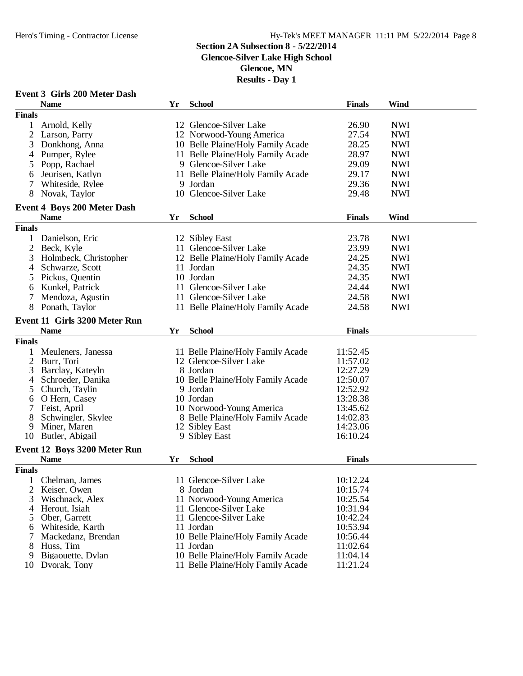#### **Section 2A Subsection 8 - 5/22/2014**

**Glencoe-Silver Lake High School**

**Glencoe, MN**

|               |                                      |    | <b>Event 3 Girls 200 Meter Dash</b> |               |            |  |  |  |  |
|---------------|--------------------------------------|----|-------------------------------------|---------------|------------|--|--|--|--|
|               | <b>Name</b>                          | Yr | <b>School</b>                       | <b>Finals</b> | Wind       |  |  |  |  |
| <b>Finals</b> |                                      |    |                                     |               |            |  |  |  |  |
| $\mathbf{1}$  | Arnold, Kelly                        |    | 12 Glencoe-Silver Lake              | 26.90         | <b>NWI</b> |  |  |  |  |
|               | Larson, Parry                        |    | 12 Norwood-Young America            | 27.54         | <b>NWI</b> |  |  |  |  |
| 3             | Donkhong, Anna                       |    | 10 Belle Plaine/Holy Family Acade   | 28.25         | <b>NWI</b> |  |  |  |  |
| 4             | Pumper, Rylee                        |    | 11 Belle Plaine/Holy Family Acade   | 28.97         | <b>NWI</b> |  |  |  |  |
| 5             | Popp, Rachael                        |    | 9 Glencoe-Silver Lake               | 29.09         | <b>NWI</b> |  |  |  |  |
| 6             | Jeurisen, Katlyn                     |    | 11 Belle Plaine/Holy Family Acade   | 29.17         | <b>NWI</b> |  |  |  |  |
| 7             | Whiteside, Rylee                     |    | 9 Jordan                            | 29.36         | <b>NWI</b> |  |  |  |  |
| 8             | Novak, Taylor                        |    | 10 Glencoe-Silver Lake              | 29.48         | <b>NWI</b> |  |  |  |  |
|               |                                      |    |                                     |               |            |  |  |  |  |
|               | <b>Event 4 Boys 200 Meter Dash</b>   |    |                                     |               |            |  |  |  |  |
|               | <b>Name</b>                          | Yr | <b>School</b>                       | <b>Finals</b> | Wind       |  |  |  |  |
| <b>Finals</b> |                                      |    |                                     |               |            |  |  |  |  |
|               | 1 Danielson, Eric                    |    | 12 Sibley East                      | 23.78         | <b>NWI</b> |  |  |  |  |
| 2             | Beck, Kyle                           |    | 11 Glencoe-Silver Lake              | 23.99         | <b>NWI</b> |  |  |  |  |
| 3             | Holmbeck, Christopher                |    | 12 Belle Plaine/Holy Family Acade   | 24.25         | <b>NWI</b> |  |  |  |  |
| 4             | Schwarze, Scott                      |    | 11 Jordan                           | 24.35         | <b>NWI</b> |  |  |  |  |
| 5             | Pickus, Quentin                      |    | 10 Jordan                           | 24.35         | <b>NWI</b> |  |  |  |  |
| 6             | Kunkel, Patrick                      |    | 11 Glencoe-Silver Lake              | 24.44         | <b>NWI</b> |  |  |  |  |
| 7             | Mendoza, Agustin                     |    | 11 Glencoe-Silver Lake              | 24.58         | <b>NWI</b> |  |  |  |  |
| 8             | Ponath, Taylor                       |    | 11 Belle Plaine/Holy Family Acade   | 24.58         | <b>NWI</b> |  |  |  |  |
|               | <b>Event 11 Girls 3200 Meter Run</b> |    |                                     |               |            |  |  |  |  |
|               | <b>Name</b>                          | Yr | <b>School</b>                       | <b>Finals</b> |            |  |  |  |  |
|               |                                      |    |                                     |               |            |  |  |  |  |
| <b>Finals</b> |                                      |    |                                     |               |            |  |  |  |  |
| 1             | Meuleners, Janessa                   |    | 11 Belle Plaine/Holy Family Acade   | 11:52.45      |            |  |  |  |  |
| 2             | Burr, Tori                           |    | 12 Glencoe-Silver Lake              | 11:57.02      |            |  |  |  |  |
| 3             | Barclay, Kateyln                     |    | 8 Jordan                            | 12:27.29      |            |  |  |  |  |
| 4             | Schroeder, Danika                    |    | 10 Belle Plaine/Holy Family Acade   | 12:50.07      |            |  |  |  |  |
| 5             | Church, Taylin                       |    | 9 Jordan                            | 12:52.92      |            |  |  |  |  |
| 6             | O Hern, Casey                        |    | 10 Jordan                           | 13:28.38      |            |  |  |  |  |
|               | Feist, April                         |    | 10 Norwood-Young America            | 13:45.62      |            |  |  |  |  |
| 8             | Schwingler, Skylee                   |    | 8 Belle Plaine/Holy Family Acade    | 14:02.83      |            |  |  |  |  |
| 9             | Miner, Maren                         |    | 12 Sibley East                      | 14:23.06      |            |  |  |  |  |
| 10            | Butler, Abigail                      |    | 9 Sibley East                       | 16:10.24      |            |  |  |  |  |
|               | Event 12 Boys 3200 Meter Run         |    |                                     |               |            |  |  |  |  |
|               | <b>Name</b>                          | Yr | <b>School</b>                       | <b>Finals</b> |            |  |  |  |  |
| <b>Finals</b> |                                      |    |                                     |               |            |  |  |  |  |
|               | Chelman, James                       |    | 11 Glencoe-Silver Lake              | 10:12.24      |            |  |  |  |  |
| 2             | Keiser, Owen                         |    | 8 Jordan                            | 10:15.74      |            |  |  |  |  |
| 3             | Wischnack, Alex                      |    | 11 Norwood-Young America            | 10:25.54      |            |  |  |  |  |
| 4             | Herout, Isiah                        |    | 11 Glencoe-Silver Lake              | 10:31.94      |            |  |  |  |  |
| 5             | Ober, Garrett                        |    | 11 Glencoe-Silver Lake              | 10:42.24      |            |  |  |  |  |
| 6             | Whiteside, Karth                     |    | 11 Jordan                           | 10:53.94      |            |  |  |  |  |
|               | Mackedanz, Brendan                   |    | 10 Belle Plaine/Holy Family Acade   | 10:56.44      |            |  |  |  |  |
| 8             | Huss, Tim                            |    | 11 Jordan                           | 11:02.64      |            |  |  |  |  |
| 9             | Bigaouette, Dylan                    |    | 10 Belle Plaine/Holy Family Acade   | 11:04.14      |            |  |  |  |  |
|               | 10 Dvorak, Tony                      |    | 11 Belle Plaine/Holy Family Acade   | 11:21.24      |            |  |  |  |  |
|               |                                      |    |                                     |               |            |  |  |  |  |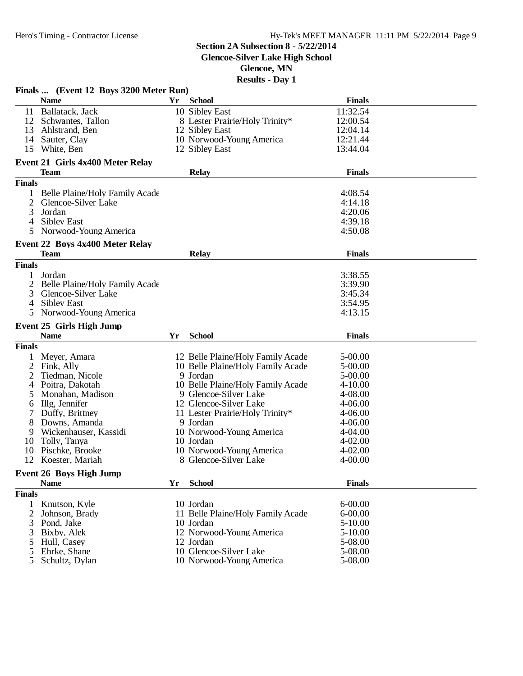**Glencoe-Silver Lake High School**

**Glencoe, MN**

|                | Finals  (Event 12 Boys 3200 Meter Run)  |    |                                   |               |  |
|----------------|-----------------------------------------|----|-----------------------------------|---------------|--|
|                | <b>Name</b>                             | Yr | <b>School</b>                     | <b>Finals</b> |  |
| 11             | Ballatack, Jack                         |    | 10 Sibley East                    | 11:32.54      |  |
|                | 12 Schwantes, Tallon                    |    | 8 Lester Prairie/Holy Trinity*    | 12:00.54      |  |
|                | 13 Ahlstrand, Ben                       |    | 12 Sibley East                    | 12:04.14      |  |
| 14             | Sauter, Clay                            |    | 10 Norwood-Young America          | 12:21.44      |  |
|                | 15 White, Ben                           |    | 12 Sibley East                    | 13:44.04      |  |
|                |                                         |    |                                   |               |  |
|                | <b>Event 21 Girls 4x400 Meter Relay</b> |    |                                   |               |  |
|                | <b>Team</b>                             |    | <b>Relay</b>                      | <b>Finals</b> |  |
| <b>Finals</b>  |                                         |    |                                   |               |  |
| 1              | Belle Plaine/Holy Family Acade          |    |                                   | 4:08.54       |  |
|                | 2 Glencoe-Silver Lake                   |    |                                   | 4:14.18       |  |
| 3              | Jordan                                  |    |                                   | 4:20.06       |  |
| 4              | <b>Sibley East</b>                      |    |                                   | 4:39.18       |  |
| 5.             | Norwood-Young America                   |    |                                   | 4:50.08       |  |
|                | Event 22 Boys 4x400 Meter Relay         |    |                                   |               |  |
|                | <b>Team</b>                             |    | <b>Relay</b>                      | <b>Finals</b> |  |
| <b>Finals</b>  |                                         |    |                                   |               |  |
| 1              | Jordan                                  |    |                                   | 3:38.55       |  |
| $\overline{2}$ | Belle Plaine/Holy Family Acade          |    |                                   | 3:39.90       |  |
| 3              | Glencoe-Silver Lake                     |    |                                   | 3:45.34       |  |
| 4              | <b>Sibley East</b>                      |    |                                   | 3:54.95       |  |
| 5.             | Norwood-Young America                   |    |                                   | 4:13.15       |  |
|                |                                         |    |                                   |               |  |
|                | <b>Event 25 Girls High Jump</b>         |    |                                   |               |  |
|                | <b>Name</b>                             | Yr | <b>School</b>                     | <b>Finals</b> |  |
| <b>Finals</b>  |                                         |    |                                   |               |  |
| 1              | Meyer, Amara                            |    | 12 Belle Plaine/Holy Family Acade | 5-00.00       |  |
| $\overline{c}$ | Fink, Ally                              |    | 10 Belle Plaine/Holy Family Acade | 5-00.00       |  |
| 2              | Tiedman, Nicole                         |    | 9 Jordan                          | 5-00.00       |  |
| 4              | Poitra, Dakotah                         |    | 10 Belle Plaine/Holy Family Acade | $4 - 10.00$   |  |
| 5              | Monahan, Madison                        |    | 9 Glencoe-Silver Lake             | 4-08.00       |  |
| 6              | Illg, Jennifer                          |    | 12 Glencoe-Silver Lake            | 4-06.00       |  |
| 7              | Duffy, Brittney                         |    | 11 Lester Prairie/Holy Trinity*   | 4-06.00       |  |
| 8              | Downs, Amanda                           |    | 9 Jordan                          | 4-06.00       |  |
| 9              | Wickenhauser, Kassidi                   |    | 10 Norwood-Young America          | 4-04.00       |  |
| 10             | Tolly, Tanya                            |    | 10 Jordan                         | $4 - 02.00$   |  |
| 10             | Pischke, Brooke                         |    | 10 Norwood-Young America          | $4 - 02.00$   |  |
| 12             | Koester, Mariah                         |    | 8 Glencoe-Silver Lake             | $4 - 00.00$   |  |
|                | <b>Event 26 Boys High Jump</b>          |    |                                   |               |  |
|                | <b>Name</b>                             | Yr | <b>School</b>                     | <b>Finals</b> |  |
|                |                                         |    |                                   |               |  |
| <b>Finals</b>  |                                         |    |                                   |               |  |
| 1              | Knutson, Kyle                           |    | 10 Jordan                         | $6 - 00.00$   |  |
| 2              | Johnson, Brady                          |    | 11 Belle Plaine/Holy Family Acade | $6 - 00.00$   |  |
| 3              | Pond, Jake                              |    | 10 Jordan                         | $5-10.00$     |  |
| 3              | Bixby, Alek                             |    | 12 Norwood-Young America          | $5 - 10.00$   |  |
| 5              | Hull, Casey                             |    | 12 Jordan                         | 5-08.00       |  |
| 5<br>5         | Ehrke, Shane                            |    | 10 Glencoe-Silver Lake            | 5-08.00       |  |
|                | Schultz, Dylan                          |    | 10 Norwood-Young America          | 5-08.00       |  |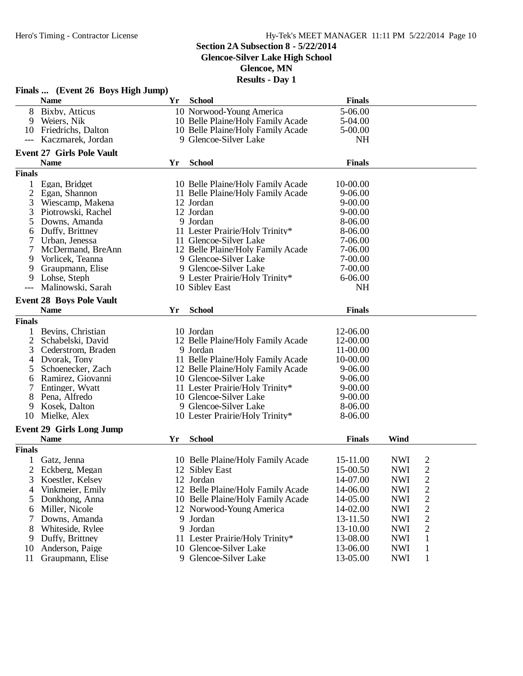### Hy-Tek's MEET MANAGER 11:11 PM 5/22/2014 Page 10

## **Section 2A Subsection 8 - 5/22/2014**

## **Glencoe-Silver Lake High School**

**Glencoe, MN**

|                | Finals  (Event 26 Boys High Jump) |     |                                   |               |            |                |  |
|----------------|-----------------------------------|-----|-----------------------------------|---------------|------------|----------------|--|
|                | <b>Name</b>                       | Yr. | <b>School</b>                     | <b>Finals</b> |            |                |  |
| 8              | Bixby, Atticus                    |     | 10 Norwood-Young America          | 5-06.00       |            |                |  |
| 9              | Weiers, Nik                       |     | 10 Belle Plaine/Holy Family Acade | 5-04.00       |            |                |  |
| 10             | Friedrichs, Dalton                |     | 10 Belle Plaine/Holy Family Acade | 5-00.00       |            |                |  |
|                | Kaczmarek, Jordan                 |     | 9 Glencoe-Silver Lake             | <b>NH</b>     |            |                |  |
|                | <b>Event 27 Girls Pole Vault</b>  |     |                                   |               |            |                |  |
|                | <b>Name</b>                       | Yr  | <b>School</b>                     | <b>Finals</b> |            |                |  |
| <b>Finals</b>  |                                   |     |                                   |               |            |                |  |
| 1              | Egan, Bridget                     |     | 10 Belle Plaine/Holy Family Acade | 10-00.00      |            |                |  |
| $\overline{2}$ | Egan, Shannon                     |     | 11 Belle Plaine/Holy Family Acade | 9-06.00       |            |                |  |
| 3              | Wiescamp, Makena                  |     | 12 Jordan                         | $9 - 00.00$   |            |                |  |
| 3              | Piotrowski, Rachel                |     | 12 Jordan                         | $9 - 00.00$   |            |                |  |
| 5              | Downs, Amanda                     |     | 9 Jordan                          | 8-06.00       |            |                |  |
| 6              | Duffy, Brittney                   |     | 11 Lester Prairie/Holy Trinity*   | 8-06.00       |            |                |  |
|                | Urban, Jenessa                    |     | 11 Glencoe-Silver Lake            | 7-06.00       |            |                |  |
| 7              | McDermand, BreAnn                 |     | 12 Belle Plaine/Holy Family Acade | 7-06.00       |            |                |  |
| 9              | Vorlicek, Teanna                  |     | 9 Glencoe-Silver Lake             | 7-00.00       |            |                |  |
| 9              | Graupmann, Elise                  |     | 9 Glencoe-Silver Lake             | 7-00.00       |            |                |  |
| 9              | Lohse, Steph                      |     | 9 Lester Prairie/Holy Trinity*    | 6-06.00       |            |                |  |
|                | Malinowski, Sarah                 |     | 10 Sibley East                    | <b>NH</b>     |            |                |  |
|                |                                   |     |                                   |               |            |                |  |
|                | <b>Event 28 Boys Pole Vault</b>   |     |                                   |               |            |                |  |
|                | <b>Name</b>                       | Yr  | <b>School</b>                     | <b>Finals</b> |            |                |  |
| <b>Finals</b>  |                                   |     |                                   |               |            |                |  |
| 1              | Bevins, Christian                 |     | 10 Jordan                         | 12-06.00      |            |                |  |
| 2              | Schabelski, David                 |     | 12 Belle Plaine/Holy Family Acade | 12-00.00      |            |                |  |
| 3              | Cederstrom, Braden                |     | 9 Jordan                          | 11-00.00      |            |                |  |
| 4              | Dvorak, Tony                      |     | 11 Belle Plaine/Holy Family Acade | 10-00.00      |            |                |  |
| 5              | Schoenecker, Zach                 |     | 12 Belle Plaine/Holy Family Acade | 9-06.00       |            |                |  |
| 6              | Ramirez, Giovanni                 |     | 10 Glencoe-Silver Lake            | 9-06.00       |            |                |  |
| 7              | Entinger, Wyatt                   |     | 11 Lester Prairie/Holy Trinity*   | $9 - 00.00$   |            |                |  |
| 8              | Pena, Alfredo                     |     | 10 Glencoe-Silver Lake            | $9 - 00.00$   |            |                |  |
| 9              | Kosek, Dalton                     |     | 9 Glencoe-Silver Lake             | 8-06.00       |            |                |  |
| 10             | Mielke, Alex                      |     | 10 Lester Prairie/Holy Trinity*   | 8-06.00       |            |                |  |
|                | <b>Event 29 Girls Long Jump</b>   |     |                                   |               |            |                |  |
|                | <b>Name</b>                       | Yr  | <b>School</b>                     | <b>Finals</b> | Wind       |                |  |
| <b>Finals</b>  |                                   |     |                                   |               |            |                |  |
|                | Gatz, Jenna                       |     | 10 Belle Plaine/Holy Family Acade | 15-11.00      | <b>NWI</b> | 2              |  |
| 2              | Eckberg, Megan                    |     | 12 Sibley East                    | 15-00.50      | <b>NWI</b> | $\overline{c}$ |  |
| 3              | Koestler, Kelsey                  |     | 12 Jordan                         | 14-07.00      | <b>NWI</b> | $\mathbf{2}$   |  |
| 4              | Vinkmeier, Emily                  |     | 12 Belle Plaine/Holy Family Acade | 14-06.00      | <b>NWI</b> | $\mathbf{2}$   |  |
| 5              | Donkhong, Anna                    |     | 10 Belle Plaine/Holy Family Acade | 14-05.00      | <b>NWI</b> | $\overline{c}$ |  |
| 6              | Miller, Nicole                    |     | 12 Norwood-Young America          | 14-02.00      | <b>NWI</b> | $\mathbf{2}$   |  |
|                | Downs, Amanda                     |     | 9 Jordan                          | 13-11.50      | <b>NWI</b> | $\overline{c}$ |  |
| 8              | Whiteside, Rylee                  | 9   | Jordan                            | 13-10.00      | <b>NWI</b> | $\overline{c}$ |  |
| 9              | Duffy, Brittney                   |     | 11 Lester Prairie/Holy Trinity*   | 13-08.00      | <b>NWI</b> | $\mathbf{1}$   |  |
| 10             | Anderson, Paige                   |     | 10 Glencoe-Silver Lake            | 13-06.00      | <b>NWI</b> | $\mathbf{1}$   |  |
| 11             | Graupmann, Elise                  |     | 9 Glencoe-Silver Lake             | 13-05.00      | <b>NWI</b> | 1              |  |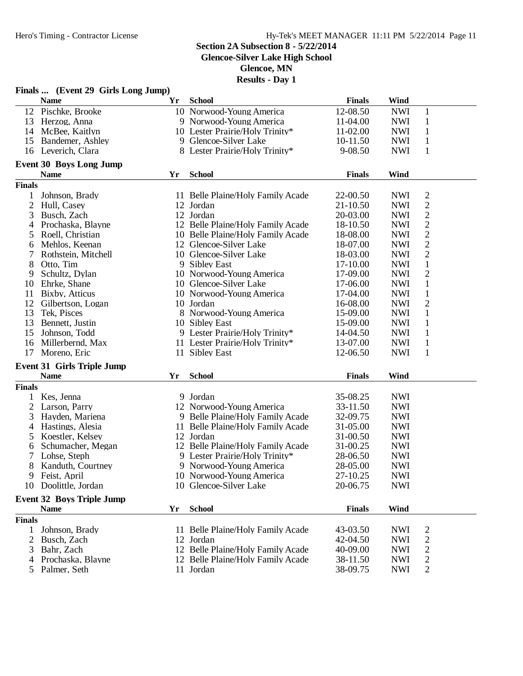#### **Section 2A Subsection 8 - 5/22/2014**

**Glencoe-Silver Lake High School**

**Glencoe, MN**

|                | Finals  (Event 29 Girls Long Jump) |    |                                   |               |            |                |  |
|----------------|------------------------------------|----|-----------------------------------|---------------|------------|----------------|--|
|                | <b>Name</b>                        | Yr | <b>School</b>                     | <b>Finals</b> | Wind       |                |  |
| 12             | Pischke, Brooke                    |    | 10 Norwood-Young America          | 12-08.50      | <b>NWI</b> | $\mathbf{1}$   |  |
| 13             | Herzog, Anna                       |    | 9 Norwood-Young America           | 11-04.00      | <b>NWI</b> | $\mathbf{1}$   |  |
| 14             | McBee, Kaitlyn                     |    | 10 Lester Prairie/Holy Trinity*   | 11-02.00      | <b>NWI</b> | $\mathbf{1}$   |  |
| 15             | Bandemer, Ashley                   |    | 9 Glencoe-Silver Lake             | 10-11.50      | <b>NWI</b> | $\mathbf{1}$   |  |
| 16             | Leverich, Clara                    |    | 8 Lester Prairie/Holy Trinity*    | 9-08.50       | <b>NWI</b> | $\mathbf{1}$   |  |
|                |                                    |    |                                   |               |            |                |  |
|                | <b>Event 30 Boys Long Jump</b>     |    |                                   |               |            |                |  |
|                | <b>Name</b>                        | Yr | <b>School</b>                     | <b>Finals</b> | Wind       |                |  |
| <b>Finals</b>  |                                    |    |                                   |               |            |                |  |
| 1              | Johnson, Brady                     |    | 11 Belle Plaine/Holy Family Acade | 22-00.50      | <b>NWI</b> | $\overline{c}$ |  |
| $\overline{c}$ | Hull, Casey                        |    | 12 Jordan                         | $21 - 10.50$  | <b>NWI</b> | $\mathbf{2}$   |  |
| 3              | Busch, Zach                        |    | 12 Jordan                         | 20-03.00      | <b>NWI</b> | $\mathfrak{2}$ |  |
| 4              | Prochaska, Blayne                  |    | 12 Belle Plaine/Holy Family Acade | 18-10.50      | <b>NWI</b> | 2              |  |
| 5              | Roell, Christian                   |    | 10 Belle Plaine/Holy Family Acade | 18-08.00      | <b>NWI</b> | 2              |  |
| 6              | Mehlos, Keenan                     |    | 12 Glencoe-Silver Lake            | 18-07.00      | <b>NWI</b> | $\overline{c}$ |  |
| 7              | Rothstein, Mitchell                |    | 10 Glencoe-Silver Lake            | 18-03.00      | <b>NWI</b> | $\overline{c}$ |  |
| 8              | Otto, Tim                          |    | 9 Sibley East                     | 17-10.00      | <b>NWI</b> | $\mathbf{1}$   |  |
| 9              | Schultz, Dylan                     |    | 10 Norwood-Young America          | 17-09.00      | <b>NWI</b> | $\overline{c}$ |  |
| 10             | Ehrke, Shane                       |    | 10 Glencoe-Silver Lake            | 17-06.00      | <b>NWI</b> | $\mathbf{1}$   |  |
| 11             | Bixby, Atticus                     |    | 10 Norwood-Young America          | 17-04.00      | <b>NWI</b> | $\mathbf{1}$   |  |
| 12             | Gilbertson, Logan                  |    | 10 Jordan                         | 16-08.00      | <b>NWI</b> | $\overline{c}$ |  |
| 13             | Tek, Pisces                        |    | 8 Norwood-Young America           | 15-09.00      | <b>NWI</b> | $\mathbf{1}$   |  |
| 13             | Bennett, Justin                    |    | 10 Sibley East                    | 15-09.00      | <b>NWI</b> | $\mathbf{1}$   |  |
| 15             | Johnson, Todd                      |    | 9 Lester Prairie/Holy Trinity*    | 14-04.50      | <b>NWI</b> | $\mathbf{1}$   |  |
| 16             | Millerbernd, Max                   |    | 11 Lester Prairie/Holy Trinity*   | 13-07.00      | <b>NWI</b> | $\mathbf{1}$   |  |
| 17             | Moreno, Eric                       |    | 11 Sibley East                    | 12-06.50      | <b>NWI</b> | 1              |  |
|                |                                    |    |                                   |               |            |                |  |
|                | <b>Event 31 Girls Triple Jump</b>  |    |                                   |               |            |                |  |
|                | <b>Name</b>                        | Yr | <b>School</b>                     | <b>Finals</b> | Wind       |                |  |
| <b>Finals</b>  |                                    |    |                                   |               |            |                |  |
|                | Kes, Jenna                         |    | 9 Jordan                          | 35-08.25      | <b>NWI</b> |                |  |
| 2              | Larson, Parry                      |    | 12 Norwood-Young America          | 33-11.50      | <b>NWI</b> |                |  |
| 3              | Hayden, Mariena                    |    | 9 Belle Plaine/Holy Family Acade  | 32-09.75      | <b>NWI</b> |                |  |
| 4              | Hastings, Alesia                   |    | 11 Belle Plaine/Holy Family Acade | 31-05.00      | <b>NWI</b> |                |  |
| 5              | Koestler, Kelsey                   |    | 12 Jordan                         | 31-00.50      | <b>NWI</b> |                |  |
| 6              | Schumacher, Megan                  |    | 12 Belle Plaine/Holy Family Acade | 31-00.25      | <b>NWI</b> |                |  |
| 7              | Lohse, Steph                       |    | 9 Lester Prairie/Holy Trinity*    | 28-06.50      | <b>NWI</b> |                |  |
|                | 8 Kanduth, Courtney                |    | 9 Norwood-Young America           | 28-05.00      | <b>NWI</b> |                |  |
|                | 9 Feist, April                     |    | 10 Norwood-Young America          | 27-10.25      | <b>NWI</b> |                |  |
|                | 10 Doolittle, Jordan               |    | 10 Glencoe-Silver Lake            | 20-06.75      | <b>NWI</b> |                |  |
|                | <b>Event 32 Boys Triple Jump</b>   |    |                                   |               |            |                |  |
|                | <b>Name</b>                        | Yr | <b>School</b>                     | <b>Finals</b> | Wind       |                |  |
| <b>Finals</b>  |                                    |    |                                   |               |            |                |  |
| 1              | Johnson, Brady                     |    | 11 Belle Plaine/Holy Family Acade | 43-03.50      | <b>NWI</b> | 2              |  |
| 2              | Busch, Zach                        |    | 12 Jordan                         | 42-04.50      | <b>NWI</b> | $\overline{c}$ |  |
| 3              | Bahr, Zach                         |    | 12 Belle Plaine/Holy Family Acade | 40-09.00      | <b>NWI</b> | 2              |  |
| 4              | Prochaska, Blayne                  |    | 12 Belle Plaine/Holy Family Acade | 38-11.50      | <b>NWI</b> | $\overline{c}$ |  |
|                |                                    |    | 11 Jordan                         |               |            |                |  |
|                | 5 Palmer, Seth                     |    |                                   | 38-09.75      | <b>NWI</b> | 2              |  |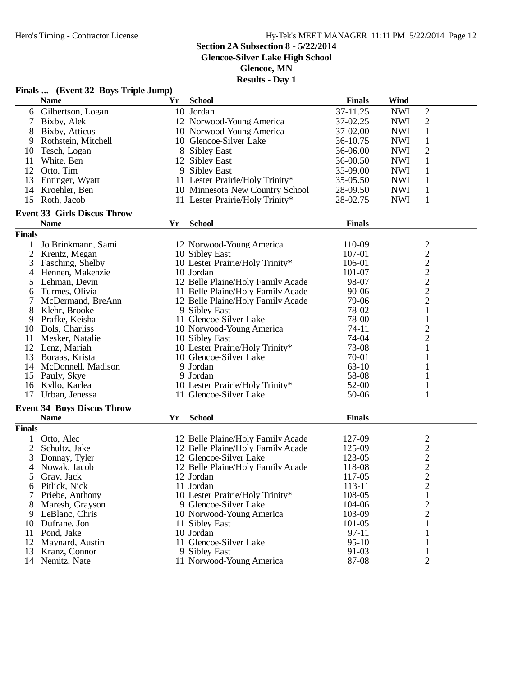### **Section 2A Subsection 8 - 5/22/2014**

**Glencoe-Silver Lake High School**

**Glencoe, MN**

| Finals  (Event 32 Boys Triple Jump) |                                    |    |                                   |                  |                                 |                                  |  |
|-------------------------------------|------------------------------------|----|-----------------------------------|------------------|---------------------------------|----------------------------------|--|
|                                     | <b>Name</b>                        | Yr | <b>School</b>                     | <b>Finals</b>    | Wind                            |                                  |  |
| 6                                   | Gilbertson, Logan                  |    | 10 Jordan                         | 37-11.25         | <b>NWI</b>                      | 2                                |  |
|                                     | Bixby, Alek                        |    | 12 Norwood-Young America          | 37-02.25         | <b>NWI</b>                      | $\overline{2}$                   |  |
| 8                                   | Bixby, Atticus                     |    | 10 Norwood-Young America          | 37-02.00         | <b>NWI</b>                      | $\mathbf{1}$                     |  |
| 9                                   | Rothstein, Mitchell                |    | 10 Glencoe-Silver Lake            | 36-10.75         | <b>NWI</b>                      | $\mathbf{1}$                     |  |
| 10                                  | Tesch, Logan                       |    | 8 Sibley East                     | 36-06.00         | <b>NWI</b>                      | $\overline{2}$                   |  |
| 11                                  | White, Ben                         |    | 12 Sibley East                    | 36-00.50         | <b>NWI</b>                      | 1                                |  |
|                                     | 12 Otto, Tim                       |    | 9 Sibley East                     | 35-09.00         | <b>NWI</b>                      | 1                                |  |
|                                     | 13 Entinger, Wyatt                 |    | 11 Lester Prairie/Holy Trinity*   | 35-05.50         | <b>NWI</b>                      | 1                                |  |
| 14                                  | Kroehler, Ben                      |    | 10 Minnesota New Country School   | 28-09.50         | <b>NWI</b>                      |                                  |  |
| 15                                  | Roth, Jacob                        |    | 11 Lester Prairie/Holy Trinity*   | 28-02.75         | $\mathbf{1}$<br>1<br><b>NWI</b> |                                  |  |
|                                     |                                    |    |                                   |                  |                                 |                                  |  |
|                                     | <b>Event 33 Girls Discus Throw</b> |    |                                   |                  |                                 |                                  |  |
|                                     | <b>Name</b>                        | Yr | <b>School</b>                     | <b>Finals</b>    |                                 |                                  |  |
| <b>Finals</b>                       |                                    |    |                                   |                  |                                 |                                  |  |
| 1                                   | Jo Brinkmann, Sami                 |    | 12 Norwood-Young America          | 110-09           |                                 | $\overline{c}$                   |  |
| 2                                   | Krentz, Megan                      |    | 10 Sibley East                    | 107-01           |                                 | $\overline{c}$                   |  |
| 3                                   | Fasching, Shelby                   |    | 10 Lester Prairie/Holy Trinity*   | 106-01           |                                 | $\overline{c}$                   |  |
| 4                                   | Hennen, Makenzie                   |    | 10 Jordan                         | 101-07           |                                 | $\overline{c}$                   |  |
| 5                                   | Lehman, Devin                      |    | 12 Belle Plaine/Holy Family Acade | 98-07            |                                 | $\overline{c}$                   |  |
| 6                                   | Turmes, Olivia                     |    | 11 Belle Plaine/Holy Family Acade | $90 - 06$        |                                 | $\overline{c}$                   |  |
|                                     | McDermand, BreAnn                  |    | 12 Belle Plaine/Holy Family Acade | 79-06            |                                 | $\overline{c}$                   |  |
| 8                                   | Klehr, Brooke                      |    | 9 Sibley East                     | 78-02            |                                 | $\mathbf{1}$                     |  |
| 9                                   | Prafke, Keisha                     |    | 11 Glencoe-Silver Lake            | 78-00            |                                 | $\mathbf{1}$                     |  |
| 10                                  | Dols, Charliss                     |    | 10 Norwood-Young America          | 74-11            |                                 | $\overline{c}$                   |  |
| 11                                  | Mesker, Natalie                    |    | 10 Sibley East                    | 74-04            |                                 | $\overline{c}$                   |  |
|                                     | 12 Lenz, Mariah                    |    | 10 Lester Prairie/Holy Trinity*   | 73-08            |                                 | 1                                |  |
| 13                                  | Boraas, Krista                     |    | 10 Glencoe-Silver Lake            | 70-01            |                                 | 1                                |  |
| 14                                  | McDonnell, Madison                 |    | 9 Jordan                          | $63-10$          |                                 | 1                                |  |
|                                     | 15 Pauly, Skye                     |    | 9 Jordan                          | 58-08            |                                 | 1                                |  |
|                                     | 16 Kyllo, Karlea                   |    | 10 Lester Prairie/Holy Trinity*   | 52-00            |                                 | 1                                |  |
| 17                                  | Urban, Jenessa                     |    | 11 Glencoe-Silver Lake            | 50-06            |                                 | 1                                |  |
|                                     | <b>Event 34 Boys Discus Throw</b>  |    |                                   |                  |                                 |                                  |  |
|                                     | <b>Name</b>                        | Yr | <b>School</b>                     | <b>Finals</b>    |                                 |                                  |  |
| <b>Finals</b>                       |                                    |    |                                   |                  |                                 |                                  |  |
|                                     |                                    |    |                                   |                  |                                 |                                  |  |
|                                     | 1 Otto, Alec                       |    | 12 Belle Plaine/Holy Family Acade | 127-09           |                                 | $\overline{c}$                   |  |
| $\overline{c}$                      | Schultz, Jake                      |    | 12 Belle Plaine/Holy Family Acade | 125-09<br>123-05 |                                 | $\overline{c}$<br>$\overline{2}$ |  |
| 3                                   | Donnay, Tyler                      |    | 12 Glencoe-Silver Lake            |                  |                                 |                                  |  |
|                                     | 4 Nowak, Jacob                     |    | 12 Belle Plaine/Holy Family Acade | 118-08           |                                 | $\overline{c}$                   |  |
| 5                                   | Gray, Jack                         |    | 12 Jordan                         | 117-05           |                                 | $\overline{c}$                   |  |
|                                     | 6 Pitlick, Nick                    |    | 11 Jordan                         | 113-11           |                                 | $\overline{c}$                   |  |
|                                     | Priebe, Anthony                    |    | 10 Lester Prairie/Holy Trinity*   | 108-05           |                                 | 1                                |  |
| 8                                   | Maresh, Grayson                    |    | 9 Glencoe-Silver Lake             | 104-06           |                                 | 2                                |  |
|                                     | 9 LeBlanc, Chris                   |    | 10 Norwood-Young America          | 103-09           |                                 | $\overline{c}$                   |  |
|                                     | 10 Dufrane, Jon                    |    | 11 Sibley East                    | 101-05           |                                 | 1                                |  |
|                                     | 11 Pond, Jake                      |    | 10 Jordan                         | 97-11            |                                 |                                  |  |
|                                     | 12 Maynard, Austin                 |    | 11 Glencoe-Silver Lake            | $95-10$          |                                 |                                  |  |
| 13                                  | Kranz, Connor                      |    | 9 Sibley East                     | 91-03            |                                 | 1                                |  |
|                                     | 14 Nemitz, Nate                    |    | 11 Norwood-Young America          | 87-08            |                                 | $\overline{2}$                   |  |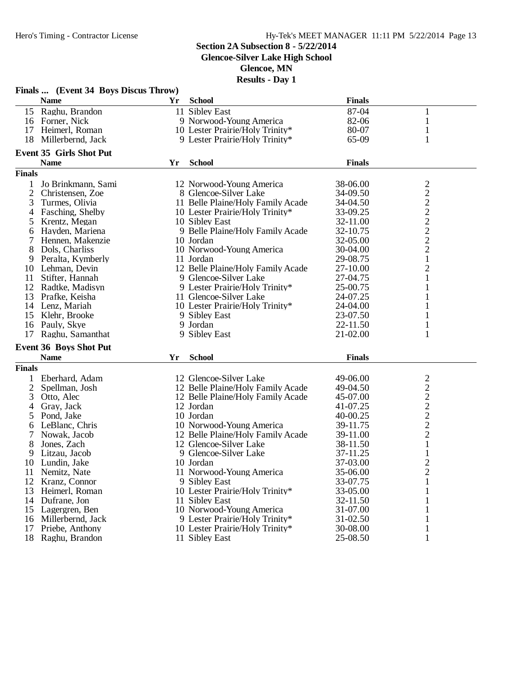#### **Section 2A Subsection 8 - 5/22/2014**

**Glencoe-Silver Lake High School**

**Glencoe, MN**

| Finals  (Event 34 Boys Discus Throw) |                                               |    |                                   |               |                         |  |  |
|--------------------------------------|-----------------------------------------------|----|-----------------------------------|---------------|-------------------------|--|--|
|                                      | <b>Name</b>                                   | Yr | <b>School</b>                     | <b>Finals</b> |                         |  |  |
| 15                                   | Raghu, Brandon                                |    | 11 Sibley East                    | 87-04         |                         |  |  |
| 16                                   | Forner, Nick                                  |    | 9 Norwood-Young America           | 82-06         | 1                       |  |  |
| 17                                   | Heimerl, Roman                                |    | 10 Lester Prairie/Holy Trinity*   | 80-07         |                         |  |  |
| 18                                   | Millerbernd, Jack                             |    | 9 Lester Prairie/Holy Trinity*    | 65-09         | 1                       |  |  |
|                                      |                                               |    |                                   |               |                         |  |  |
|                                      | <b>Event 35 Girls Shot Put</b><br><b>Name</b> | Yr | <b>School</b>                     | <b>Finals</b> |                         |  |  |
| <b>Finals</b>                        |                                               |    |                                   |               |                         |  |  |
|                                      |                                               |    |                                   | 38-06.00      |                         |  |  |
| 1                                    | Jo Brinkmann, Sami                            |    | 12 Norwood-Young America          |               | 2                       |  |  |
| 2                                    | Christensen, Zoe                              |    | 8 Glencoe-Silver Lake             | 34-09.50      | $\overline{c}$          |  |  |
| 3                                    | Turmes, Olivia                                |    | 11 Belle Plaine/Holy Family Acade | 34-04.50      | $\overline{c}$          |  |  |
| 4                                    | Fasching, Shelby                              |    | 10 Lester Prairie/Holy Trinity*   | 33-09.25      | $\overline{c}$          |  |  |
| 5                                    | Krentz, Megan                                 |    | 10 Sibley East                    | 32-11.00      | $\overline{\mathbf{c}}$ |  |  |
| 6                                    | Hayden, Mariena                               |    | 9 Belle Plaine/Holy Family Acade  | 32-10.75      | $\overline{c}$          |  |  |
| 7                                    | Hennen, Makenzie                              |    | 10 Jordan                         | 32-05.00      | $\overline{c}$          |  |  |
| 8                                    | Dols, Charliss                                |    | 10 Norwood-Young America          | 30-04.00      | $\overline{c}$          |  |  |
| 9                                    | Peralta, Kymberly                             |    | 11 Jordan                         | 29-08.75      | $\mathbf{1}$            |  |  |
| 10                                   | Lehman, Devin                                 |    | 12 Belle Plaine/Holy Family Acade | 27-10.00      | $\overline{c}$          |  |  |
| 11                                   | Stifter, Hannah                               |    | 9 Glencoe-Silver Lake             | 27-04.75      | 1                       |  |  |
| 12                                   | Radtke, Madisyn                               |    | 9 Lester Prairie/Holy Trinity*    | 25-00.75      |                         |  |  |
| 13                                   | Prafke, Keisha                                |    | 11 Glencoe-Silver Lake            | 24-07.25      |                         |  |  |
| 14                                   | Lenz, Mariah                                  |    | 10 Lester Prairie/Holy Trinity*   | 24-04.00      |                         |  |  |
| 15                                   | Klehr, Brooke                                 |    | 9 Sibley East                     | 23-07.50      |                         |  |  |
| 16                                   | Pauly, Skye                                   |    | 9 Jordan                          | 22-11.50      |                         |  |  |
| 17                                   | Raghu, Samanthat                              |    | 9 Sibley East                     | 21-02.00      | 1                       |  |  |
|                                      | <b>Event 36 Boys Shot Put</b>                 |    |                                   |               |                         |  |  |
|                                      | <b>Name</b>                                   | Yr | <b>School</b>                     | <b>Finals</b> |                         |  |  |
| <b>Finals</b>                        |                                               |    |                                   |               |                         |  |  |
|                                      | Eberhard, Adam                                |    | 12 Glencoe-Silver Lake            | 49-06.00      |                         |  |  |
|                                      |                                               |    |                                   |               | $\overline{\mathbf{c}}$ |  |  |
| $\overline{2}$                       | Spellman, Josh                                |    | 12 Belle Plaine/Holy Family Acade | 49-04.50      | $\overline{c}$          |  |  |
| 3                                    | Otto, Alec                                    |    | 12 Belle Plaine/Holy Family Acade | 45-07.00      | $\overline{c}$          |  |  |
| 4                                    | Gray, Jack                                    |    | 12 Jordan                         | 41-07.25      | $\overline{c}$          |  |  |
| 5                                    | Pond, Jake                                    |    | 10 Jordan                         | 40-00.25      | $\overline{c}$          |  |  |
| 6                                    | LeBlanc, Chris                                |    | 10 Norwood-Young America          | 39-11.75      | $\overline{2}$          |  |  |
| 7                                    | Nowak, Jacob                                  |    | 12 Belle Plaine/Holy Family Acade | 39-11.00      | $\overline{2}$          |  |  |
| 8                                    | Jones, Zach                                   |    | 12 Glencoe-Silver Lake            | 38-11.50      | $\mathbf{1}$            |  |  |
| 9                                    | Litzau, Jacob                                 |    | 9 Glencoe-Silver Lake             | 37-11.25      | $\mathbf{1}$            |  |  |
| 10                                   | Lundin, Jake                                  |    | 10 Jordan                         | 37-03.00      | $\overline{2}$          |  |  |
| 11                                   | Nemitz, Nate                                  |    | 11 Norwood-Young America          | 35-06.00      | $\overline{c}$          |  |  |
| 12                                   | Kranz, Connor                                 |    | 9 Sibley East                     | 33-07.75      |                         |  |  |
| 13                                   | Heimerl, Roman                                |    | 10 Lester Prairie/Holy Trinity*   | 33-05.00      |                         |  |  |
| 14                                   | Dufrane, Jon                                  |    | 11 Sibley East                    | 32-11.50      |                         |  |  |
| 15                                   | Lagergren, Ben                                |    | 10 Norwood-Young America          | 31-07.00      |                         |  |  |
| 16                                   | Millerbernd, Jack                             |    | 9 Lester Prairie/Holy Trinity*    | 31-02.50      |                         |  |  |
| 17                                   | Priebe, Anthony                               |    | 10 Lester Prairie/Holy Trinity*   | 30-08.00      | 1                       |  |  |
|                                      | 18 Raghu, Brandon                             |    | 11 Sibley East                    | 25-08.50      |                         |  |  |